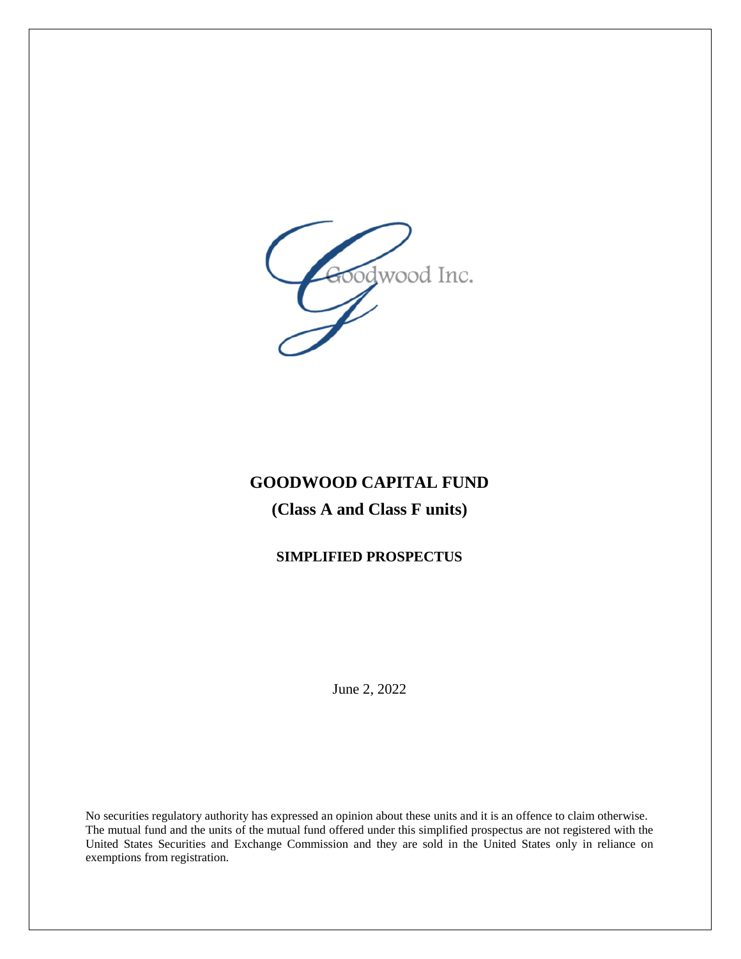

# **GOODWOOD CAPITAL FUND**

## **(Class A and Class F units)**

## **SIMPLIFIED PROSPECTUS**

June 2, 2022

No securities regulatory authority has expressed an opinion about these units and it is an offence to claim otherwise. The mutual fund and the units of the mutual fund offered under this simplified prospectus are not registered with the United States Securities and Exchange Commission and they are sold in the United States only in reliance on exemptions from registration.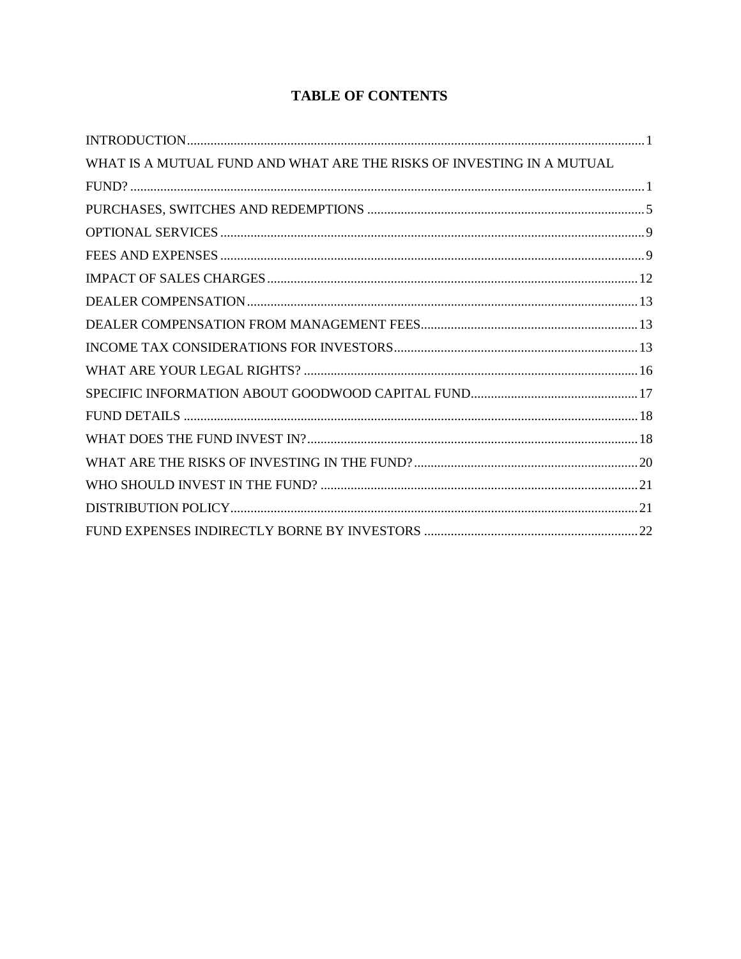## **TABLE OF CONTENTS**

| WHAT IS A MUTUAL FUND AND WHAT ARE THE RISKS OF INVESTING IN A MUTUAL |  |
|-----------------------------------------------------------------------|--|
|                                                                       |  |
|                                                                       |  |
|                                                                       |  |
|                                                                       |  |
|                                                                       |  |
|                                                                       |  |
|                                                                       |  |
|                                                                       |  |
|                                                                       |  |
|                                                                       |  |
|                                                                       |  |
|                                                                       |  |
|                                                                       |  |
|                                                                       |  |
|                                                                       |  |
|                                                                       |  |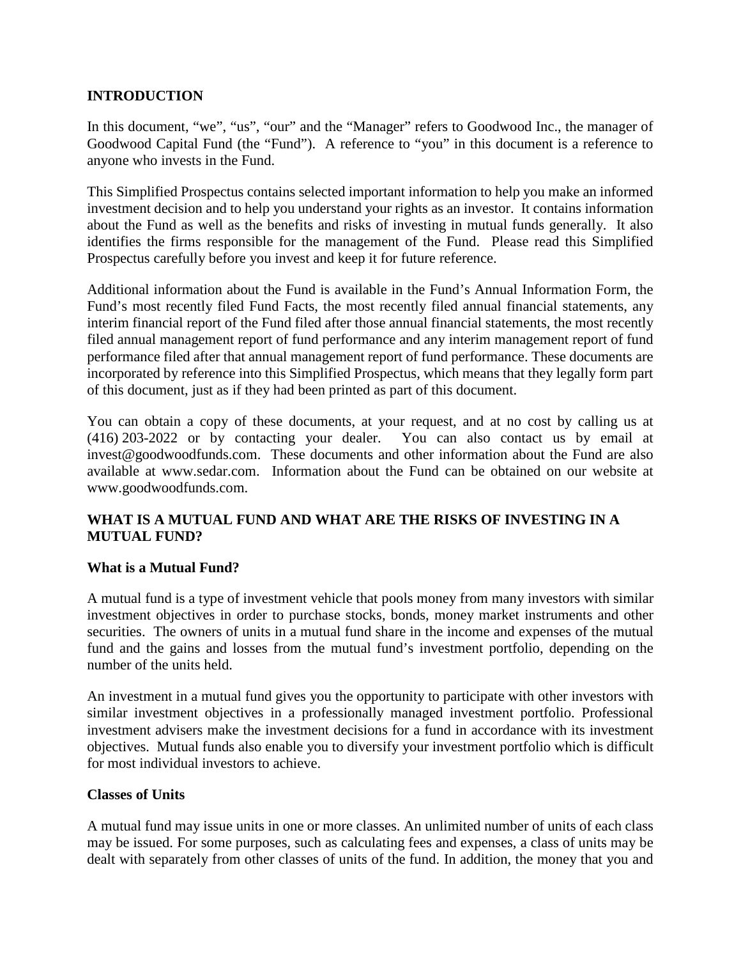## **INTRODUCTION**

In this document, "we", "us", "our" and the "Manager" refers to Goodwood Inc., the manager of Goodwood Capital Fund (the "Fund"). A reference to "you" in this document is a reference to anyone who invests in the Fund.

This Simplified Prospectus contains selected important information to help you make an informed investment decision and to help you understand your rights as an investor. It contains information about the Fund as well as the benefits and risks of investing in mutual funds generally. It also identifies the firms responsible for the management of the Fund. Please read this Simplified Prospectus carefully before you invest and keep it for future reference.

Additional information about the Fund is available in the Fund's Annual Information Form, the Fund's most recently filed Fund Facts, the most recently filed annual financial statements, any interim financial report of the Fund filed after those annual financial statements, the most recently filed annual management report of fund performance and any interim management report of fund performance filed after that annual management report of fund performance. These documents are incorporated by reference into this Simplified Prospectus, which means that they legally form part of this document, just as if they had been printed as part of this document.

You can obtain a copy of these documents, at your request, and at no cost by calling us at (416) 203-2022 or by contacting your dealer. You can also contact us by email at invest@goodwoodfunds.com. These documents and other information about the Fund are also available at www.sedar.com. Information about the Fund can be obtained on our website at www.goodwoodfunds.com.

## **WHAT IS A MUTUAL FUND AND WHAT ARE THE RISKS OF INVESTING IN A MUTUAL FUND?**

## **What is a Mutual Fund?**

A mutual fund is a type of investment vehicle that pools money from many investors with similar investment objectives in order to purchase stocks, bonds, money market instruments and other securities. The owners of units in a mutual fund share in the income and expenses of the mutual fund and the gains and losses from the mutual fund's investment portfolio, depending on the number of the units held.

An investment in a mutual fund gives you the opportunity to participate with other investors with similar investment objectives in a professionally managed investment portfolio. Professional investment advisers make the investment decisions for a fund in accordance with its investment objectives. Mutual funds also enable you to diversify your investment portfolio which is difficult for most individual investors to achieve.

#### **Classes of Units**

A mutual fund may issue units in one or more classes. An unlimited number of units of each class may be issued. For some purposes, such as calculating fees and expenses, a class of units may be dealt with separately from other classes of units of the fund. In addition, the money that you and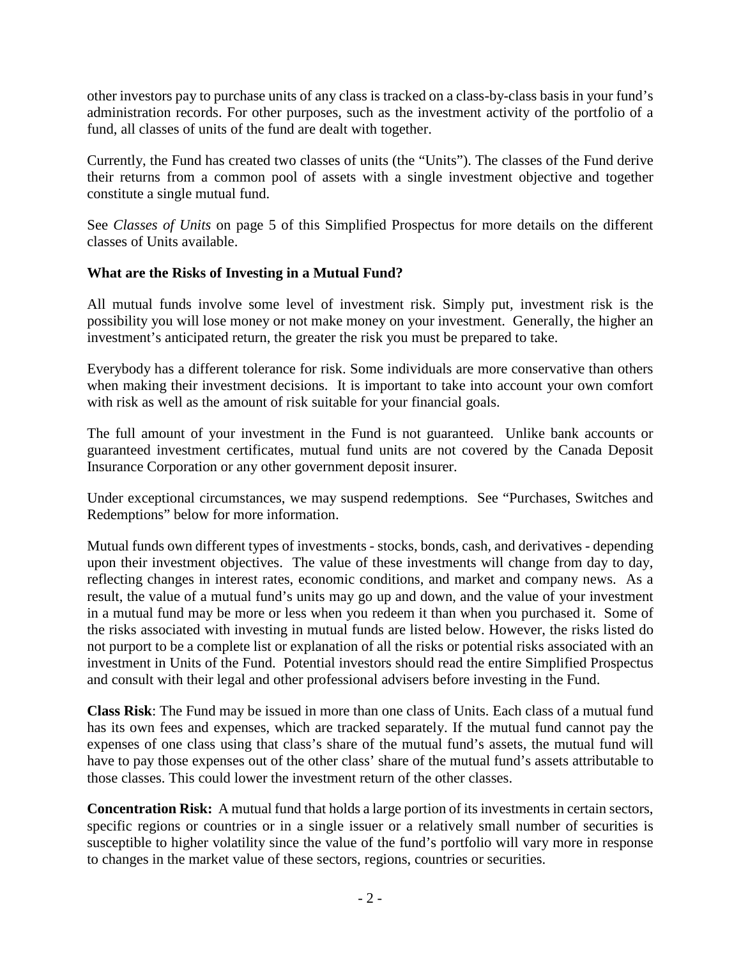other investors pay to purchase units of any class is tracked on a class-by-class basis in your fund's administration records. For other purposes, such as the investment activity of the portfolio of a fund, all classes of units of the fund are dealt with together.

Currently, the Fund has created two classes of units (the "Units"). The classes of the Fund derive their returns from a common pool of assets with a single investment objective and together constitute a single mutual fund.

See *Classes of Units* on page 5 of this Simplified Prospectus for more details on the different classes of Units available.

## **What are the Risks of Investing in a Mutual Fund?**

All mutual funds involve some level of investment risk. Simply put, investment risk is the possibility you will lose money or not make money on your investment. Generally, the higher an investment's anticipated return, the greater the risk you must be prepared to take.

Everybody has a different tolerance for risk. Some individuals are more conservative than others when making their investment decisions. It is important to take into account your own comfort with risk as well as the amount of risk suitable for your financial goals.

The full amount of your investment in the Fund is not guaranteed. Unlike bank accounts or guaranteed investment certificates, mutual fund units are not covered by the Canada Deposit Insurance Corporation or any other government deposit insurer.

Under exceptional circumstances, we may suspend redemptions. See "Purchases, Switches and Redemptions" below for more information.

Mutual funds own different types of investments - stocks, bonds, cash, and derivatives - depending upon their investment objectives. The value of these investments will change from day to day, reflecting changes in interest rates, economic conditions, and market and company news. As a result, the value of a mutual fund's units may go up and down, and the value of your investment in a mutual fund may be more or less when you redeem it than when you purchased it. Some of the risks associated with investing in mutual funds are listed below. However, the risks listed do not purport to be a complete list or explanation of all the risks or potential risks associated with an investment in Units of the Fund. Potential investors should read the entire Simplified Prospectus and consult with their legal and other professional advisers before investing in the Fund.

**Class Risk**: The Fund may be issued in more than one class of Units. Each class of a mutual fund has its own fees and expenses, which are tracked separately. If the mutual fund cannot pay the expenses of one class using that class's share of the mutual fund's assets, the mutual fund will have to pay those expenses out of the other class' share of the mutual fund's assets attributable to those classes. This could lower the investment return of the other classes.

**Concentration Risk:** A mutual fund that holds a large portion of its investments in certain sectors, specific regions or countries or in a single issuer or a relatively small number of securities is susceptible to higher volatility since the value of the fund's portfolio will vary more in response to changes in the market value of these sectors, regions, countries or securities.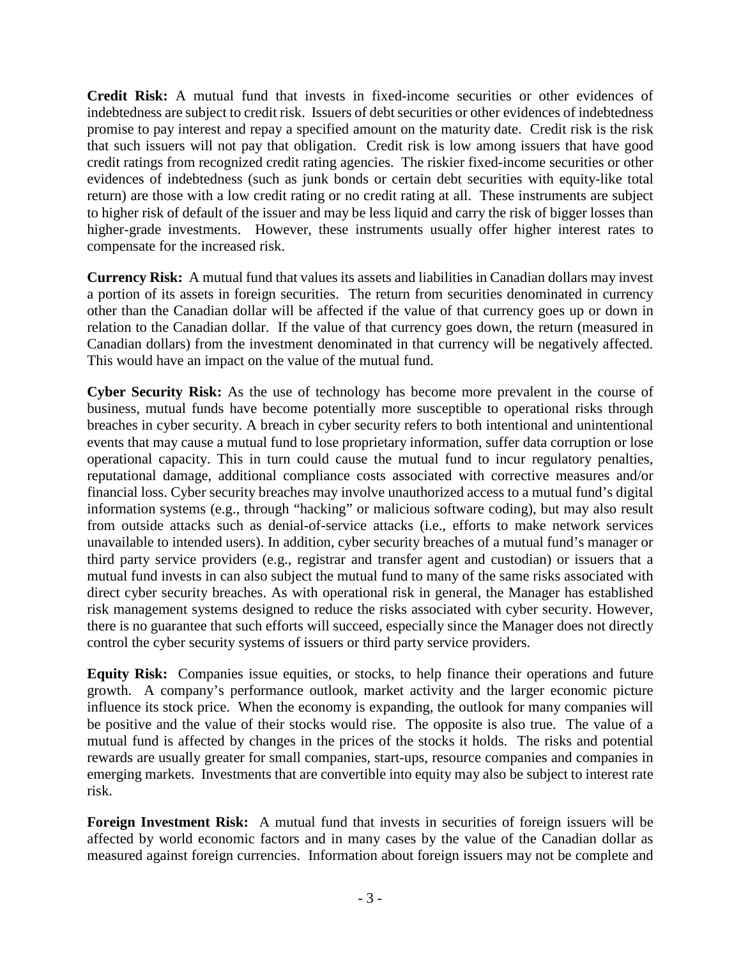**Credit Risk:** A mutual fund that invests in fixed-income securities or other evidences of indebtedness are subject to credit risk. Issuers of debt securities or other evidences of indebtedness promise to pay interest and repay a specified amount on the maturity date. Credit risk is the risk that such issuers will not pay that obligation. Credit risk is low among issuers that have good credit ratings from recognized credit rating agencies. The riskier fixed-income securities or other evidences of indebtedness (such as junk bonds or certain debt securities with equity-like total return) are those with a low credit rating or no credit rating at all. These instruments are subject to higher risk of default of the issuer and may be less liquid and carry the risk of bigger losses than higher-grade investments. However, these instruments usually offer higher interest rates to compensate for the increased risk.

**Currency Risk:** A mutual fund that values its assets and liabilities in Canadian dollars may invest a portion of its assets in foreign securities. The return from securities denominated in currency other than the Canadian dollar will be affected if the value of that currency goes up or down in relation to the Canadian dollar. If the value of that currency goes down, the return (measured in Canadian dollars) from the investment denominated in that currency will be negatively affected. This would have an impact on the value of the mutual fund.

**Cyber Security Risk:** As the use of technology has become more prevalent in the course of business, mutual funds have become potentially more susceptible to operational risks through breaches in cyber security. A breach in cyber security refers to both intentional and unintentional events that may cause a mutual fund to lose proprietary information, suffer data corruption or lose operational capacity. This in turn could cause the mutual fund to incur regulatory penalties, reputational damage, additional compliance costs associated with corrective measures and/or financial loss. Cyber security breaches may involve unauthorized access to a mutual fund's digital information systems (e.g., through "hacking" or malicious software coding), but may also result from outside attacks such as denial-of-service attacks (i.e., efforts to make network services unavailable to intended users). In addition, cyber security breaches of a mutual fund's manager or third party service providers (e.g., registrar and transfer agent and custodian) or issuers that a mutual fund invests in can also subject the mutual fund to many of the same risks associated with direct cyber security breaches. As with operational risk in general, the Manager has established risk management systems designed to reduce the risks associated with cyber security. However, there is no guarantee that such efforts will succeed, especially since the Manager does not directly control the cyber security systems of issuers or third party service providers.

**Equity Risk:** Companies issue equities, or stocks, to help finance their operations and future growth. A company's performance outlook, market activity and the larger economic picture influence its stock price. When the economy is expanding, the outlook for many companies will be positive and the value of their stocks would rise. The opposite is also true. The value of a mutual fund is affected by changes in the prices of the stocks it holds. The risks and potential rewards are usually greater for small companies, start-ups, resource companies and companies in emerging markets. Investments that are convertible into equity may also be subject to interest rate risk.

**Foreign Investment Risk:** A mutual fund that invests in securities of foreign issuers will be affected by world economic factors and in many cases by the value of the Canadian dollar as measured against foreign currencies. Information about foreign issuers may not be complete and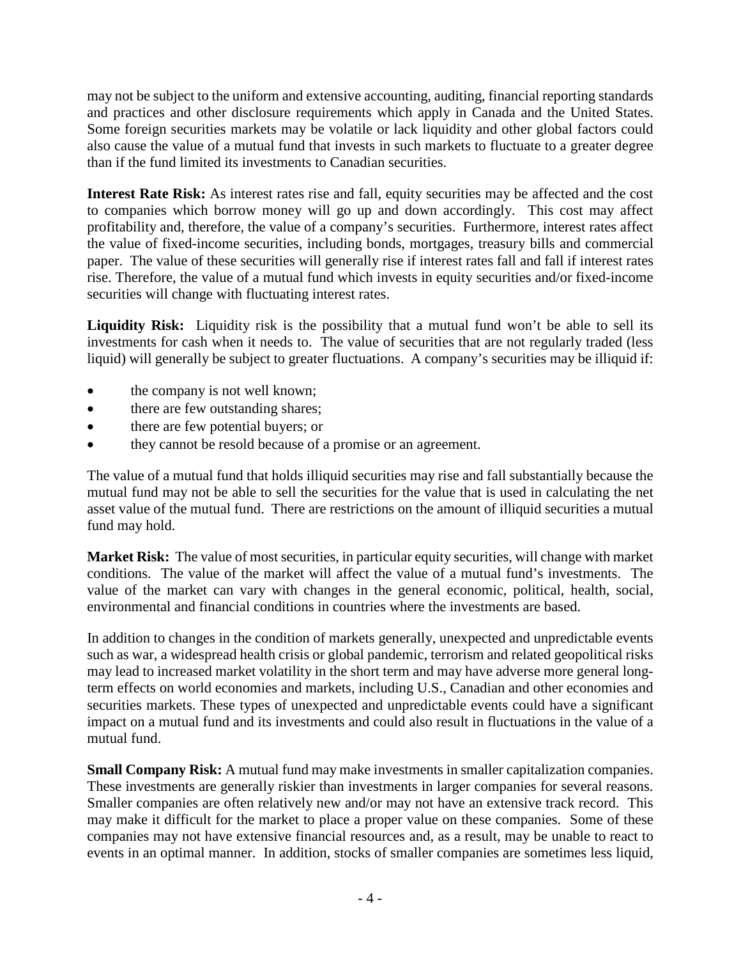may not be subject to the uniform and extensive accounting, auditing, financial reporting standards and practices and other disclosure requirements which apply in Canada and the United States. Some foreign securities markets may be volatile or lack liquidity and other global factors could also cause the value of a mutual fund that invests in such markets to fluctuate to a greater degree than if the fund limited its investments to Canadian securities.

**Interest Rate Risk:** As interest rates rise and fall, equity securities may be affected and the cost to companies which borrow money will go up and down accordingly. This cost may affect profitability and, therefore, the value of a company's securities. Furthermore, interest rates affect the value of fixed-income securities, including bonds, mortgages, treasury bills and commercial paper. The value of these securities will generally rise if interest rates fall and fall if interest rates rise. Therefore, the value of a mutual fund which invests in equity securities and/or fixed-income securities will change with fluctuating interest rates.

Liquidity Risk: Liquidity risk is the possibility that a mutual fund won't be able to sell its investments for cash when it needs to. The value of securities that are not regularly traded (less liquid) will generally be subject to greater fluctuations. A company's securities may be illiquid if:

- the company is not well known;
- there are few outstanding shares;
- there are few potential buyers; or
- they cannot be resold because of a promise or an agreement.

The value of a mutual fund that holds illiquid securities may rise and fall substantially because the mutual fund may not be able to sell the securities for the value that is used in calculating the net asset value of the mutual fund. There are restrictions on the amount of illiquid securities a mutual fund may hold.

**Market Risk:** The value of most securities, in particular equity securities, will change with market conditions. The value of the market will affect the value of a mutual fund's investments. The value of the market can vary with changes in the general economic, political, health, social, environmental and financial conditions in countries where the investments are based.

In addition to changes in the condition of markets generally, unexpected and unpredictable events such as war, a widespread health crisis or global pandemic, terrorism and related geopolitical risks may lead to increased market volatility in the short term and may have adverse more general longterm effects on world economies and markets, including U.S., Canadian and other economies and securities markets. These types of unexpected and unpredictable events could have a significant impact on a mutual fund and its investments and could also result in fluctuations in the value of a mutual fund.

**Small Company Risk:** A mutual fund may make investments in smaller capitalization companies. These investments are generally riskier than investments in larger companies for several reasons. Smaller companies are often relatively new and/or may not have an extensive track record. This may make it difficult for the market to place a proper value on these companies. Some of these companies may not have extensive financial resources and, as a result, may be unable to react to events in an optimal manner. In addition, stocks of smaller companies are sometimes less liquid,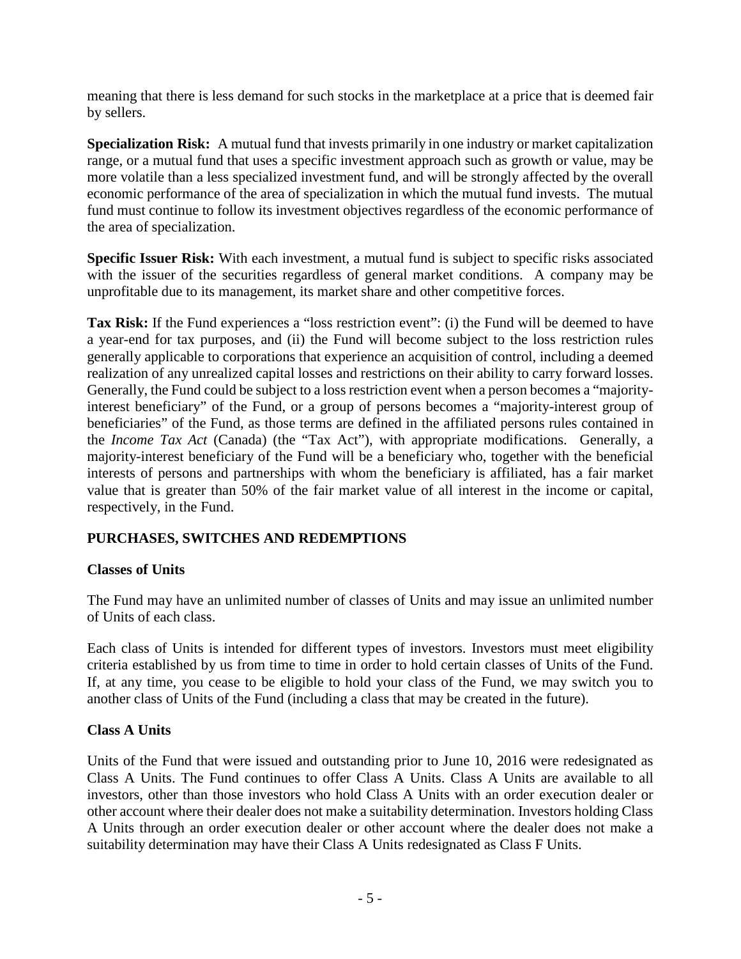meaning that there is less demand for such stocks in the marketplace at a price that is deemed fair by sellers.

**Specialization Risk:** A mutual fund that invests primarily in one industry or market capitalization range, or a mutual fund that uses a specific investment approach such as growth or value, may be more volatile than a less specialized investment fund, and will be strongly affected by the overall economic performance of the area of specialization in which the mutual fund invests. The mutual fund must continue to follow its investment objectives regardless of the economic performance of the area of specialization.

**Specific Issuer Risk:** With each investment, a mutual fund is subject to specific risks associated with the issuer of the securities regardless of general market conditions. A company may be unprofitable due to its management, its market share and other competitive forces.

**Tax Risk:** If the Fund experiences a "loss restriction event": (i) the Fund will be deemed to have a year-end for tax purposes, and (ii) the Fund will become subject to the loss restriction rules generally applicable to corporations that experience an acquisition of control, including a deemed realization of any unrealized capital losses and restrictions on their ability to carry forward losses. Generally, the Fund could be subject to a loss restriction event when a person becomes a "majorityinterest beneficiary" of the Fund, or a group of persons becomes a "majority-interest group of beneficiaries" of the Fund, as those terms are defined in the affiliated persons rules contained in the *Income Tax Act* (Canada) (the "Tax Act"), with appropriate modifications. Generally, a majority-interest beneficiary of the Fund will be a beneficiary who, together with the beneficial interests of persons and partnerships with whom the beneficiary is affiliated, has a fair market value that is greater than 50% of the fair market value of all interest in the income or capital, respectively, in the Fund.

## **PURCHASES, SWITCHES AND REDEMPTIONS**

## **Classes of Units**

The Fund may have an unlimited number of classes of Units and may issue an unlimited number of Units of each class.

Each class of Units is intended for different types of investors. Investors must meet eligibility criteria established by us from time to time in order to hold certain classes of Units of the Fund. If, at any time, you cease to be eligible to hold your class of the Fund, we may switch you to another class of Units of the Fund (including a class that may be created in the future).

## **Class A Units**

Units of the Fund that were issued and outstanding prior to June 10, 2016 were redesignated as Class A Units. The Fund continues to offer Class A Units. Class A Units are available to all investors, other than those investors who hold Class A Units with an order execution dealer or other account where their dealer does not make a suitability determination. Investors holding Class A Units through an order execution dealer or other account where the dealer does not make a suitability determination may have their Class A Units redesignated as Class F Units.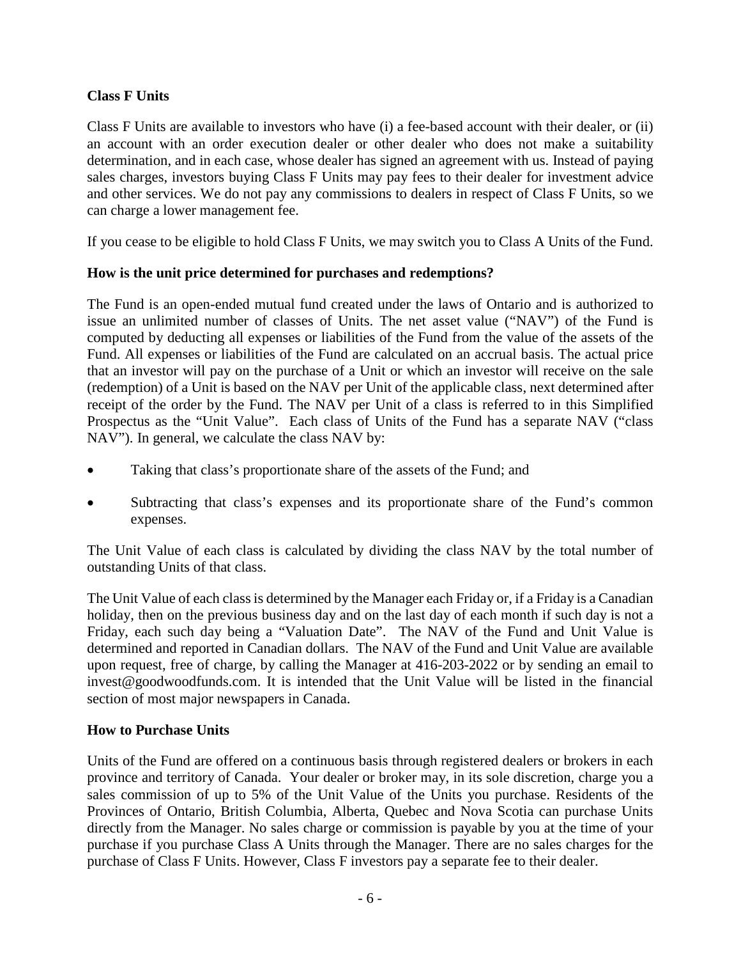## **Class F Units**

Class F Units are available to investors who have (i) a fee-based account with their dealer, or (ii) an account with an order execution dealer or other dealer who does not make a suitability determination, and in each case, whose dealer has signed an agreement with us. Instead of paying sales charges, investors buying Class F Units may pay fees to their dealer for investment advice and other services. We do not pay any commissions to dealers in respect of Class F Units, so we can charge a lower management fee.

If you cease to be eligible to hold Class F Units, we may switch you to Class A Units of the Fund.

## **How is the unit price determined for purchases and redemptions?**

The Fund is an open-ended mutual fund created under the laws of Ontario and is authorized to issue an unlimited number of classes of Units. The net asset value ("NAV") of the Fund is computed by deducting all expenses or liabilities of the Fund from the value of the assets of the Fund. All expenses or liabilities of the Fund are calculated on an accrual basis. The actual price that an investor will pay on the purchase of a Unit or which an investor will receive on the sale (redemption) of a Unit is based on the NAV per Unit of the applicable class, next determined after receipt of the order by the Fund. The NAV per Unit of a class is referred to in this Simplified Prospectus as the "Unit Value". Each class of Units of the Fund has a separate NAV ("class NAV"). In general, we calculate the class NAV by:

- Taking that class's proportionate share of the assets of the Fund; and
- Subtracting that class's expenses and its proportionate share of the Fund's common expenses.

The Unit Value of each class is calculated by dividing the class NAV by the total number of outstanding Units of that class.

The Unit Value of each class is determined by the Manager each Friday or, if a Friday is a Canadian holiday, then on the previous business day and on the last day of each month if such day is not a Friday, each such day being a "Valuation Date". The NAV of the Fund and Unit Value is determined and reported in Canadian dollars. The NAV of the Fund and Unit Value are available upon request, free of charge, by calling the Manager at 416-203-2022 or by sending an email to invest@goodwoodfunds.com. It is intended that the Unit Value will be listed in the financial section of most major newspapers in Canada.

## **How to Purchase Units**

Units of the Fund are offered on a continuous basis through registered dealers or brokers in each province and territory of Canada. Your dealer or broker may, in its sole discretion, charge you a sales commission of up to 5% of the Unit Value of the Units you purchase. Residents of the Provinces of Ontario, British Columbia, Alberta, Quebec and Nova Scotia can purchase Units directly from the Manager. No sales charge or commission is payable by you at the time of your purchase if you purchase Class A Units through the Manager. There are no sales charges for the purchase of Class F Units. However, Class F investors pay a separate fee to their dealer.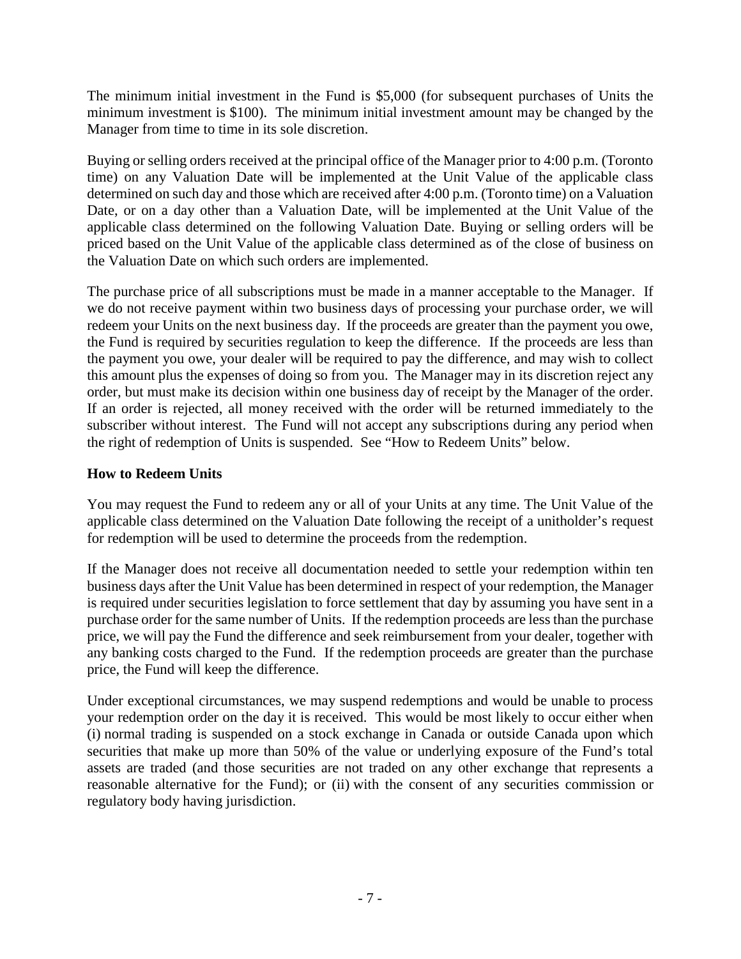The minimum initial investment in the Fund is \$5,000 (for subsequent purchases of Units the minimum investment is \$100). The minimum initial investment amount may be changed by the Manager from time to time in its sole discretion.

Buying or selling orders received at the principal office of the Manager prior to 4:00 p.m. (Toronto time) on any Valuation Date will be implemented at the Unit Value of the applicable class determined on such day and those which are received after 4:00 p.m. (Toronto time) on a Valuation Date, or on a day other than a Valuation Date, will be implemented at the Unit Value of the applicable class determined on the following Valuation Date. Buying or selling orders will be priced based on the Unit Value of the applicable class determined as of the close of business on the Valuation Date on which such orders are implemented.

The purchase price of all subscriptions must be made in a manner acceptable to the Manager. If we do not receive payment within two business days of processing your purchase order, we will redeem your Units on the next business day. If the proceeds are greater than the payment you owe, the Fund is required by securities regulation to keep the difference. If the proceeds are less than the payment you owe, your dealer will be required to pay the difference, and may wish to collect this amount plus the expenses of doing so from you. The Manager may in its discretion reject any order, but must make its decision within one business day of receipt by the Manager of the order. If an order is rejected, all money received with the order will be returned immediately to the subscriber without interest. The Fund will not accept any subscriptions during any period when the right of redemption of Units is suspended. See "How to Redeem Units" below.

## **How to Redeem Units**

You may request the Fund to redeem any or all of your Units at any time. The Unit Value of the applicable class determined on the Valuation Date following the receipt of a unitholder's request for redemption will be used to determine the proceeds from the redemption.

If the Manager does not receive all documentation needed to settle your redemption within ten business days after the Unit Value has been determined in respect of your redemption, the Manager is required under securities legislation to force settlement that day by assuming you have sent in a purchase order for the same number of Units. If the redemption proceeds are less than the purchase price, we will pay the Fund the difference and seek reimbursement from your dealer, together with any banking costs charged to the Fund. If the redemption proceeds are greater than the purchase price, the Fund will keep the difference.

Under exceptional circumstances, we may suspend redemptions and would be unable to process your redemption order on the day it is received. This would be most likely to occur either when (i) normal trading is suspended on a stock exchange in Canada or outside Canada upon which securities that make up more than 50% of the value or underlying exposure of the Fund's total assets are traded (and those securities are not traded on any other exchange that represents a reasonable alternative for the Fund); or (ii) with the consent of any securities commission or regulatory body having jurisdiction.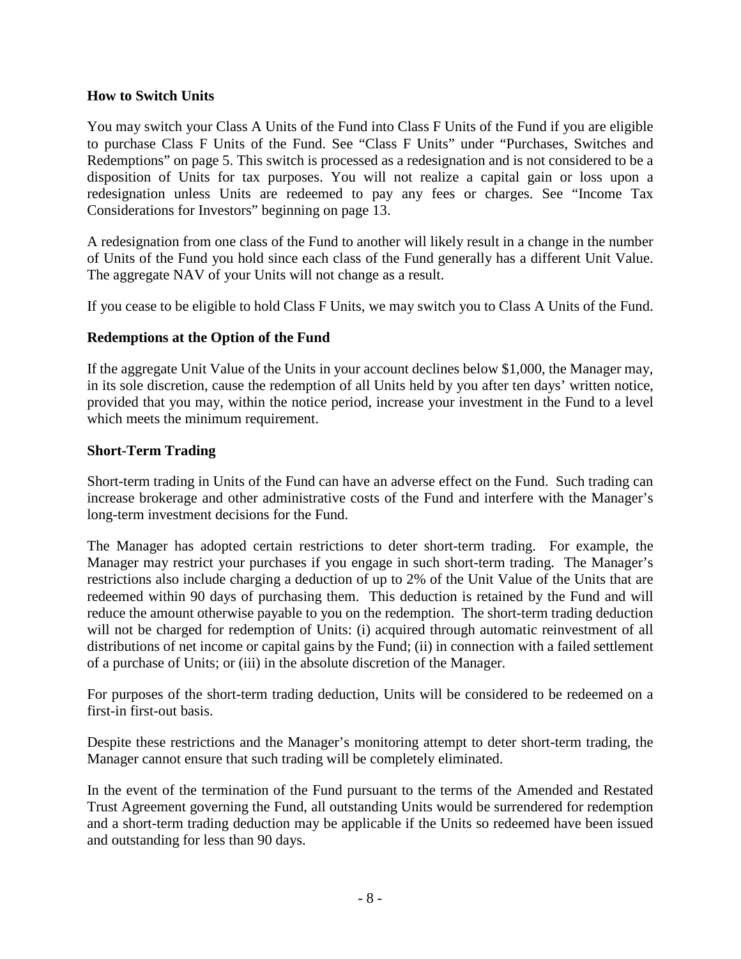#### **How to Switch Units**

You may switch your Class A Units of the Fund into Class F Units of the Fund if you are eligible to purchase Class F Units of the Fund. See "Class F Units" under "Purchases, Switches and Redemptions" on page 5. This switch is processed as a redesignation and is not considered to be a disposition of Units for tax purposes. You will not realize a capital gain or loss upon a redesignation unless Units are redeemed to pay any fees or charges. See "Income Tax Considerations for Investors" beginning on page 13.

A redesignation from one class of the Fund to another will likely result in a change in the number of Units of the Fund you hold since each class of the Fund generally has a different Unit Value. The aggregate NAV of your Units will not change as a result.

If you cease to be eligible to hold Class F Units, we may switch you to Class A Units of the Fund.

#### **Redemptions at the Option of the Fund**

If the aggregate Unit Value of the Units in your account declines below \$1,000, the Manager may, in its sole discretion, cause the redemption of all Units held by you after ten days' written notice, provided that you may, within the notice period, increase your investment in the Fund to a level which meets the minimum requirement.

#### **Short-Term Trading**

Short-term trading in Units of the Fund can have an adverse effect on the Fund. Such trading can increase brokerage and other administrative costs of the Fund and interfere with the Manager's long-term investment decisions for the Fund.

The Manager has adopted certain restrictions to deter short-term trading. For example, the Manager may restrict your purchases if you engage in such short-term trading. The Manager's restrictions also include charging a deduction of up to 2% of the Unit Value of the Units that are redeemed within 90 days of purchasing them. This deduction is retained by the Fund and will reduce the amount otherwise payable to you on the redemption. The short-term trading deduction will not be charged for redemption of Units: (i) acquired through automatic reinvestment of all distributions of net income or capital gains by the Fund; (ii) in connection with a failed settlement of a purchase of Units; or (iii) in the absolute discretion of the Manager.

For purposes of the short-term trading deduction, Units will be considered to be redeemed on a first-in first-out basis.

Despite these restrictions and the Manager's monitoring attempt to deter short-term trading, the Manager cannot ensure that such trading will be completely eliminated.

In the event of the termination of the Fund pursuant to the terms of the Amended and Restated Trust Agreement governing the Fund, all outstanding Units would be surrendered for redemption and a short-term trading deduction may be applicable if the Units so redeemed have been issued and outstanding for less than 90 days.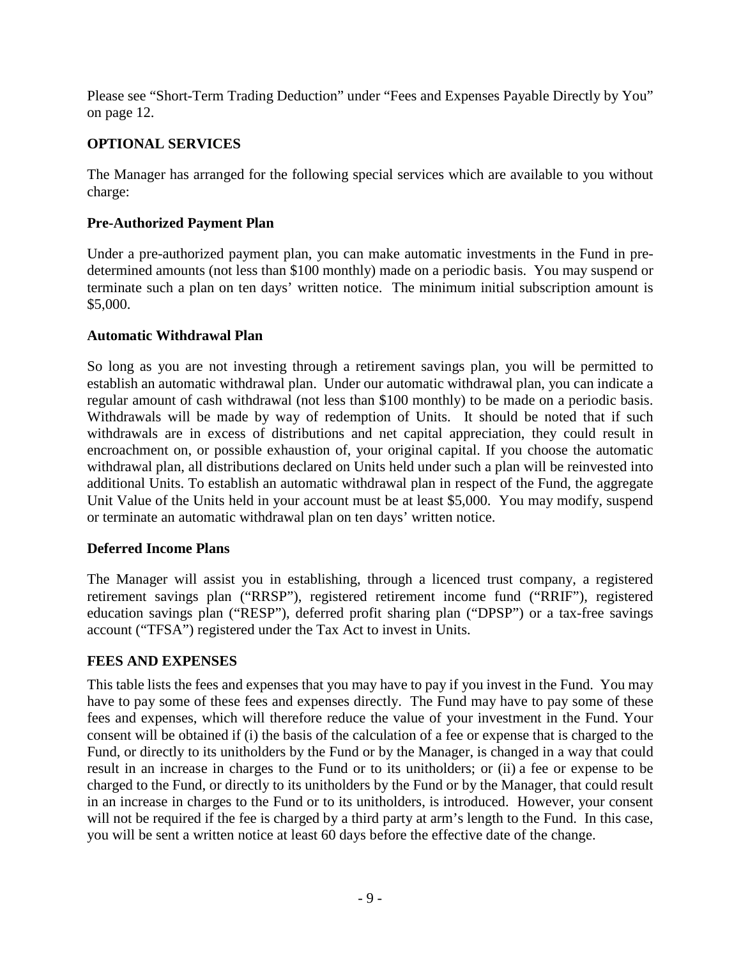Please see "Short-Term Trading Deduction" under "Fees and Expenses Payable Directly by You" on page 12.

## **OPTIONAL SERVICES**

The Manager has arranged for the following special services which are available to you without charge:

## **Pre-Authorized Payment Plan**

Under a pre-authorized payment plan, you can make automatic investments in the Fund in predetermined amounts (not less than \$100 monthly) made on a periodic basis. You may suspend or terminate such a plan on ten days' written notice. The minimum initial subscription amount is \$5,000.

## **Automatic Withdrawal Plan**

So long as you are not investing through a retirement savings plan, you will be permitted to establish an automatic withdrawal plan. Under our automatic withdrawal plan, you can indicate a regular amount of cash withdrawal (not less than \$100 monthly) to be made on a periodic basis. Withdrawals will be made by way of redemption of Units. It should be noted that if such withdrawals are in excess of distributions and net capital appreciation, they could result in encroachment on, or possible exhaustion of, your original capital. If you choose the automatic withdrawal plan, all distributions declared on Units held under such a plan will be reinvested into additional Units. To establish an automatic withdrawal plan in respect of the Fund, the aggregate Unit Value of the Units held in your account must be at least \$5,000. You may modify, suspend or terminate an automatic withdrawal plan on ten days' written notice.

## **Deferred Income Plans**

The Manager will assist you in establishing, through a licenced trust company, a registered retirement savings plan ("RRSP"), registered retirement income fund ("RRIF"), registered education savings plan ("RESP"), deferred profit sharing plan ("DPSP") or a tax-free savings account ("TFSA") registered under the Tax Act to invest in Units.

## **FEES AND EXPENSES**

This table lists the fees and expenses that you may have to pay if you invest in the Fund. You may have to pay some of these fees and expenses directly. The Fund may have to pay some of these fees and expenses, which will therefore reduce the value of your investment in the Fund. Your consent will be obtained if (i) the basis of the calculation of a fee or expense that is charged to the Fund, or directly to its unitholders by the Fund or by the Manager, is changed in a way that could result in an increase in charges to the Fund or to its unitholders; or (ii) a fee or expense to be charged to the Fund, or directly to its unitholders by the Fund or by the Manager, that could result in an increase in charges to the Fund or to its unitholders, is introduced. However, your consent will not be required if the fee is charged by a third party at arm's length to the Fund. In this case, you will be sent a written notice at least 60 days before the effective date of the change.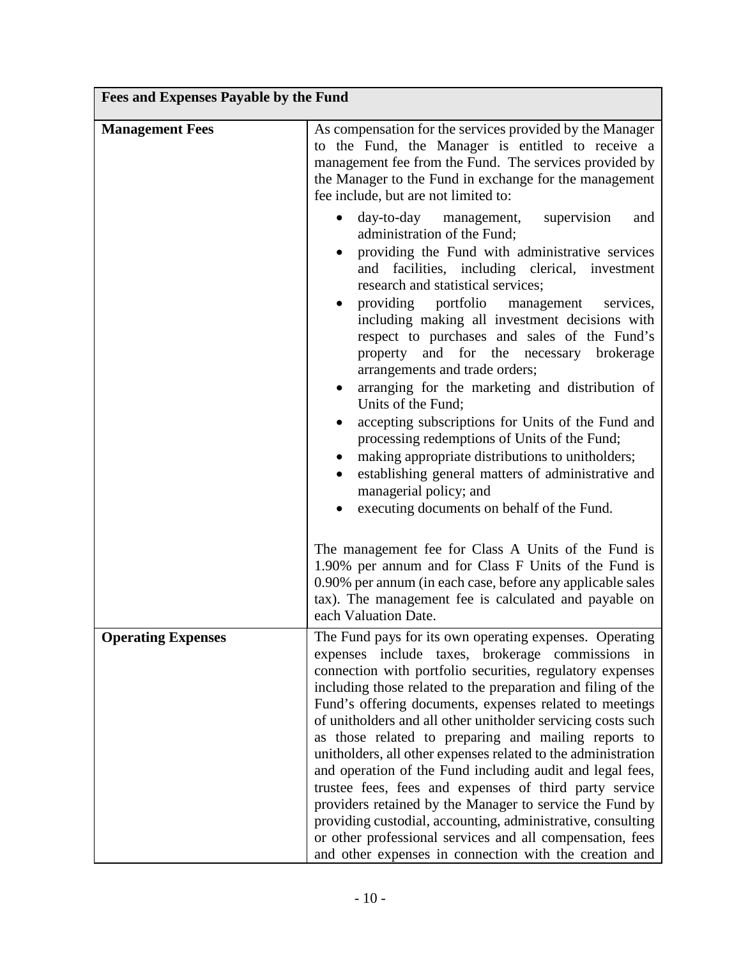| <b>Fees and Expenses Payable by the Fund</b> |                                                                                                                                                                                                                                                                                                                                                                                                                                                                                                                                                                                                                                                                                                                                                                                                                                                                       |  |
|----------------------------------------------|-----------------------------------------------------------------------------------------------------------------------------------------------------------------------------------------------------------------------------------------------------------------------------------------------------------------------------------------------------------------------------------------------------------------------------------------------------------------------------------------------------------------------------------------------------------------------------------------------------------------------------------------------------------------------------------------------------------------------------------------------------------------------------------------------------------------------------------------------------------------------|--|
| <b>Management Fees</b>                       | As compensation for the services provided by the Manager<br>to the Fund, the Manager is entitled to receive a<br>management fee from the Fund. The services provided by<br>the Manager to the Fund in exchange for the management<br>fee include, but are not limited to:                                                                                                                                                                                                                                                                                                                                                                                                                                                                                                                                                                                             |  |
|                                              | day-to-day management, supervision<br>and<br>administration of the Fund;<br>providing the Fund with administrative services<br>and facilities, including clerical, investment<br>research and statistical services;<br>providing portfolio<br>management<br>services,<br>including making all investment decisions with<br>respect to purchases and sales of the Fund's<br>property and for the necessary brokerage<br>arrangements and trade orders;<br>arranging for the marketing and distribution of<br>Units of the Fund;<br>accepting subscriptions for Units of the Fund and<br>processing redemptions of Units of the Fund;<br>making appropriate distributions to unitholders;<br>$\bullet$<br>establishing general matters of administrative and<br>managerial policy; and<br>executing documents on behalf of the Fund.                                    |  |
|                                              | The management fee for Class A Units of the Fund is<br>1.90% per annum and for Class F Units of the Fund is<br>0.90% per annum (in each case, before any applicable sales<br>tax). The management fee is calculated and payable on<br>each Valuation Date.                                                                                                                                                                                                                                                                                                                                                                                                                                                                                                                                                                                                            |  |
| <b>Operating Expenses</b>                    | The Fund pays for its own operating expenses. Operating<br>expenses include taxes, brokerage commissions in<br>connection with portfolio securities, regulatory expenses<br>including those related to the preparation and filing of the<br>Fund's offering documents, expenses related to meetings<br>of unitholders and all other unitholder servicing costs such<br>as those related to preparing and mailing reports to<br>unitholders, all other expenses related to the administration<br>and operation of the Fund including audit and legal fees,<br>trustee fees, fees and expenses of third party service<br>providers retained by the Manager to service the Fund by<br>providing custodial, accounting, administrative, consulting<br>or other professional services and all compensation, fees<br>and other expenses in connection with the creation and |  |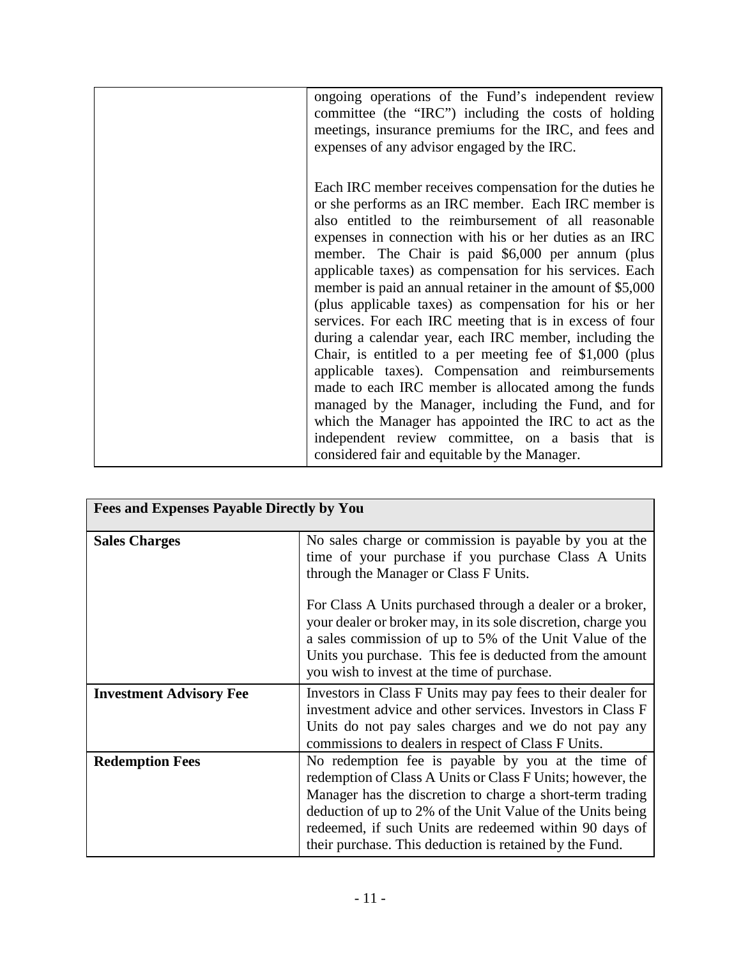| ongoing operations of the Fund's independent review<br>committee (the "IRC") including the costs of holding<br>meetings, insurance premiums for the IRC, and fees and<br>expenses of any advisor engaged by the IRC.                                                                                                                                                                                                                                                                                                                                                                                                                                                                                                                                                                                                                                                                                                                                                                              |
|---------------------------------------------------------------------------------------------------------------------------------------------------------------------------------------------------------------------------------------------------------------------------------------------------------------------------------------------------------------------------------------------------------------------------------------------------------------------------------------------------------------------------------------------------------------------------------------------------------------------------------------------------------------------------------------------------------------------------------------------------------------------------------------------------------------------------------------------------------------------------------------------------------------------------------------------------------------------------------------------------|
| Each IRC member receives compensation for the duties he<br>or she performs as an IRC member. Each IRC member is<br>also entitled to the reimbursement of all reasonable<br>expenses in connection with his or her duties as an IRC<br>member. The Chair is paid \$6,000 per annum (plus<br>applicable taxes) as compensation for his services. Each<br>member is paid an annual retainer in the amount of \$5,000<br>(plus applicable taxes) as compensation for his or her<br>services. For each IRC meeting that is in excess of four<br>during a calendar year, each IRC member, including the<br>Chair, is entitled to a per meeting fee of $$1,000$ (plus<br>applicable taxes). Compensation and reimbursements<br>made to each IRC member is allocated among the funds<br>managed by the Manager, including the Fund, and for<br>which the Manager has appointed the IRC to act as the<br>independent review committee, on a basis that is<br>considered fair and equitable by the Manager. |

| <b>Fees and Expenses Payable Directly by You</b> |                                                                                                                                                                                                                                                                                                                                                                  |  |
|--------------------------------------------------|------------------------------------------------------------------------------------------------------------------------------------------------------------------------------------------------------------------------------------------------------------------------------------------------------------------------------------------------------------------|--|
| <b>Sales Charges</b>                             | No sales charge or commission is payable by you at the<br>time of your purchase if you purchase Class A Units<br>through the Manager or Class F Units.                                                                                                                                                                                                           |  |
|                                                  | For Class A Units purchased through a dealer or a broker,<br>your dealer or broker may, in its sole discretion, charge you<br>a sales commission of up to 5% of the Unit Value of the<br>Units you purchase. This fee is deducted from the amount<br>you wish to invest at the time of purchase.                                                                 |  |
| <b>Investment Advisory Fee</b>                   | Investors in Class F Units may pay fees to their dealer for<br>investment advice and other services. Investors in Class F<br>Units do not pay sales charges and we do not pay any<br>commissions to dealers in respect of Class F Units.                                                                                                                         |  |
| <b>Redemption Fees</b>                           | No redemption fee is payable by you at the time of<br>redemption of Class A Units or Class F Units; however, the<br>Manager has the discretion to charge a short-term trading<br>deduction of up to 2% of the Unit Value of the Units being<br>redeemed, if such Units are redeemed within 90 days of<br>their purchase. This deduction is retained by the Fund. |  |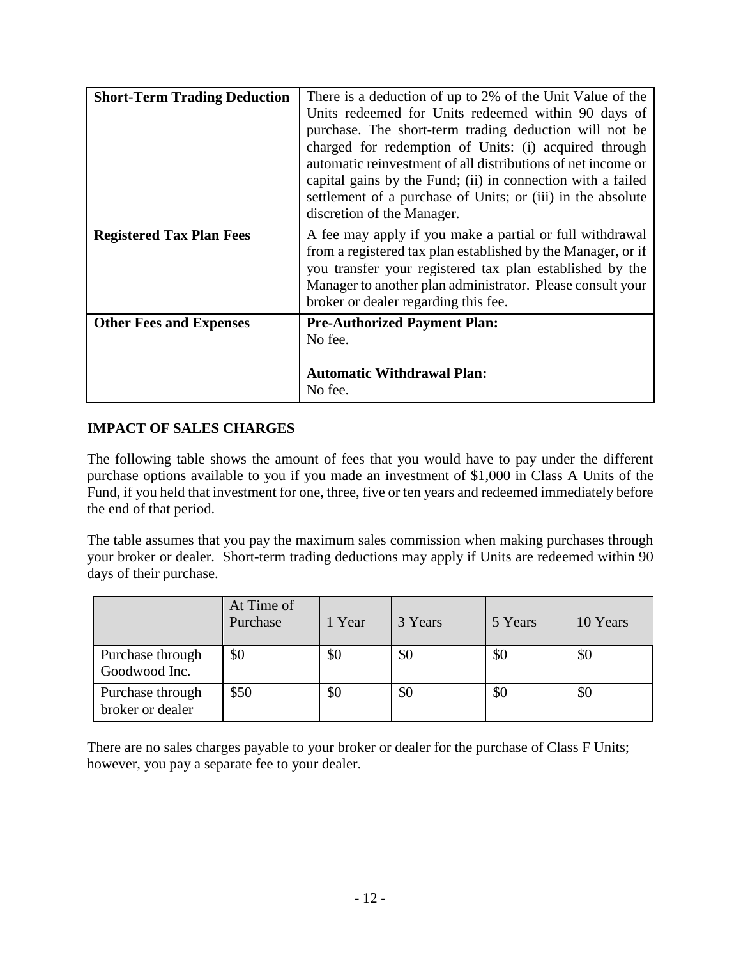| <b>Short-Term Trading Deduction</b> | There is a deduction of up to 2% of the Unit Value of the<br>Units redeemed for Units redeemed within 90 days of<br>purchase. The short-term trading deduction will not be<br>charged for redemption of Units: (i) acquired through<br>automatic reinvestment of all distributions of net income or<br>capital gains by the Fund; (ii) in connection with a failed<br>settlement of a purchase of Units; or (iii) in the absolute<br>discretion of the Manager. |
|-------------------------------------|-----------------------------------------------------------------------------------------------------------------------------------------------------------------------------------------------------------------------------------------------------------------------------------------------------------------------------------------------------------------------------------------------------------------------------------------------------------------|
| <b>Registered Tax Plan Fees</b>     | A fee may apply if you make a partial or full withdrawal<br>from a registered tax plan established by the Manager, or if<br>you transfer your registered tax plan established by the<br>Manager to another plan administrator. Please consult your<br>broker or dealer regarding this fee.                                                                                                                                                                      |
| <b>Other Fees and Expenses</b>      | <b>Pre-Authorized Payment Plan:</b><br>No fee.<br><b>Automatic Withdrawal Plan:</b><br>No fee.                                                                                                                                                                                                                                                                                                                                                                  |

## **IMPACT OF SALES CHARGES**

The following table shows the amount of fees that you would have to pay under the different purchase options available to you if you made an investment of \$1,000 in Class A Units of the Fund, if you held that investment for one, three, five or ten years and redeemed immediately before the end of that period.

The table assumes that you pay the maximum sales commission when making purchases through your broker or dealer. Short-term trading deductions may apply if Units are redeemed within 90 days of their purchase.

|                                      | At Time of<br>Purchase | 1 Year | 3 Years | 5 Years | 10 Years |
|--------------------------------------|------------------------|--------|---------|---------|----------|
| Purchase through<br>Goodwood Inc.    | \$0                    | \$0    | \$0     | \$0     | \$0      |
| Purchase through<br>broker or dealer | \$50                   | \$0    | \$0     | \$0     | \$0      |

There are no sales charges payable to your broker or dealer for the purchase of Class F Units; however, you pay a separate fee to your dealer.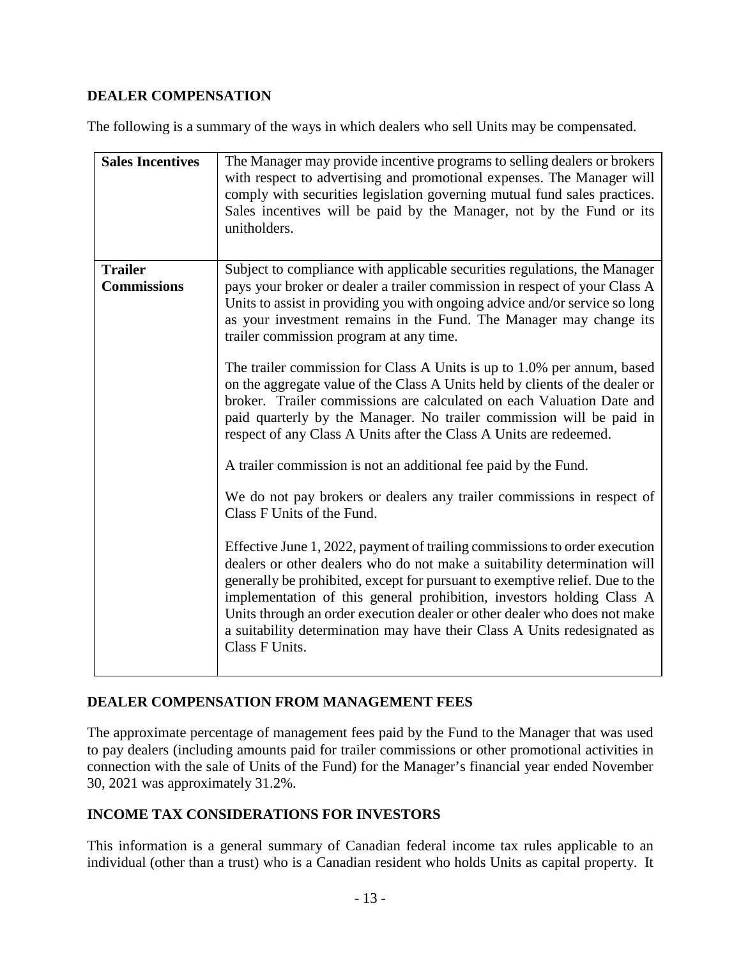## **DEALER COMPENSATION**

The following is a summary of the ways in which dealers who sell Units may be compensated.

| <b>Sales Incentives</b>              | The Manager may provide incentive programs to selling dealers or brokers<br>with respect to advertising and promotional expenses. The Manager will<br>comply with securities legislation governing mutual fund sales practices.<br>Sales incentives will be paid by the Manager, not by the Fund or its<br>unitholders.                                                                                                                                                                                                                                                                                                                                                                                                                                                                                                                                                                                                                                                                                                                                                                                                                                                                                                                                                                                                                                                                                             |
|--------------------------------------|---------------------------------------------------------------------------------------------------------------------------------------------------------------------------------------------------------------------------------------------------------------------------------------------------------------------------------------------------------------------------------------------------------------------------------------------------------------------------------------------------------------------------------------------------------------------------------------------------------------------------------------------------------------------------------------------------------------------------------------------------------------------------------------------------------------------------------------------------------------------------------------------------------------------------------------------------------------------------------------------------------------------------------------------------------------------------------------------------------------------------------------------------------------------------------------------------------------------------------------------------------------------------------------------------------------------------------------------------------------------------------------------------------------------|
| <b>Trailer</b><br><b>Commissions</b> | Subject to compliance with applicable securities regulations, the Manager<br>pays your broker or dealer a trailer commission in respect of your Class A<br>Units to assist in providing you with ongoing advice and/or service so long<br>as your investment remains in the Fund. The Manager may change its<br>trailer commission program at any time.<br>The trailer commission for Class A Units is up to 1.0% per annum, based<br>on the aggregate value of the Class A Units held by clients of the dealer or<br>broker. Trailer commissions are calculated on each Valuation Date and<br>paid quarterly by the Manager. No trailer commission will be paid in<br>respect of any Class A Units after the Class A Units are redeemed.<br>A trailer commission is not an additional fee paid by the Fund.<br>We do not pay brokers or dealers any trailer commissions in respect of<br>Class F Units of the Fund.<br>Effective June 1, 2022, payment of trailing commissions to order execution<br>dealers or other dealers who do not make a suitability determination will<br>generally be prohibited, except for pursuant to exemptive relief. Due to the<br>implementation of this general prohibition, investors holding Class A<br>Units through an order execution dealer or other dealer who does not make<br>a suitability determination may have their Class A Units redesignated as<br>Class F Units. |

## **DEALER COMPENSATION FROM MANAGEMENT FEES**

The approximate percentage of management fees paid by the Fund to the Manager that was used to pay dealers (including amounts paid for trailer commissions or other promotional activities in connection with the sale of Units of the Fund) for the Manager's financial year ended November 30, 2021 was approximately 31.2%.

## **INCOME TAX CONSIDERATIONS FOR INVESTORS**

This information is a general summary of Canadian federal income tax rules applicable to an individual (other than a trust) who is a Canadian resident who holds Units as capital property. It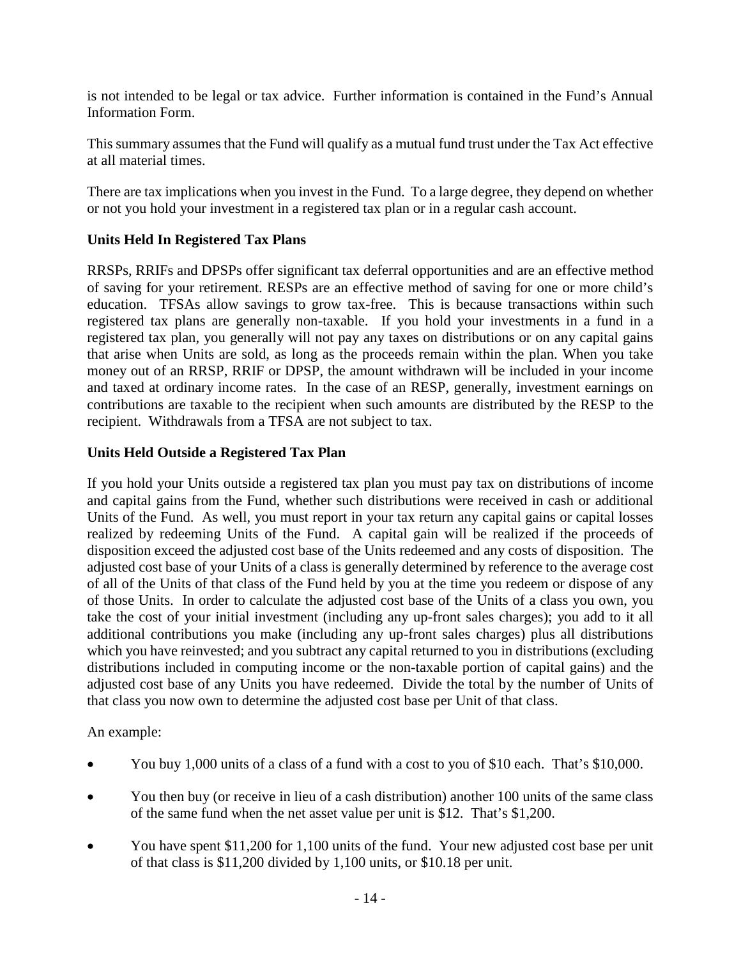is not intended to be legal or tax advice. Further information is contained in the Fund's Annual Information Form.

This summary assumes that the Fund will qualify as a mutual fund trust under the Tax Act effective at all material times.

There are tax implications when you invest in the Fund. To a large degree, they depend on whether or not you hold your investment in a registered tax plan or in a regular cash account.

## **Units Held In Registered Tax Plans**

RRSPs, RRIFs and DPSPs offer significant tax deferral opportunities and are an effective method of saving for your retirement. RESPs are an effective method of saving for one or more child's education. TFSAs allow savings to grow tax-free. This is because transactions within such registered tax plans are generally non-taxable. If you hold your investments in a fund in a registered tax plan, you generally will not pay any taxes on distributions or on any capital gains that arise when Units are sold, as long as the proceeds remain within the plan. When you take money out of an RRSP, RRIF or DPSP, the amount withdrawn will be included in your income and taxed at ordinary income rates. In the case of an RESP, generally, investment earnings on contributions are taxable to the recipient when such amounts are distributed by the RESP to the recipient. Withdrawals from a TFSA are not subject to tax.

## **Units Held Outside a Registered Tax Plan**

If you hold your Units outside a registered tax plan you must pay tax on distributions of income and capital gains from the Fund, whether such distributions were received in cash or additional Units of the Fund. As well, you must report in your tax return any capital gains or capital losses realized by redeeming Units of the Fund. A capital gain will be realized if the proceeds of disposition exceed the adjusted cost base of the Units redeemed and any costs of disposition. The adjusted cost base of your Units of a class is generally determined by reference to the average cost of all of the Units of that class of the Fund held by you at the time you redeem or dispose of any of those Units. In order to calculate the adjusted cost base of the Units of a class you own, you take the cost of your initial investment (including any up-front sales charges); you add to it all additional contributions you make (including any up-front sales charges) plus all distributions which you have reinvested; and you subtract any capital returned to you in distributions (excluding distributions included in computing income or the non-taxable portion of capital gains) and the adjusted cost base of any Units you have redeemed. Divide the total by the number of Units of that class you now own to determine the adjusted cost base per Unit of that class.

An example:

- You buy 1,000 units of a class of a fund with a cost to you of \$10 each. That's \$10,000.
- You then buy (or receive in lieu of a cash distribution) another 100 units of the same class of the same fund when the net asset value per unit is \$12. That's \$1,200.
- You have spent \$11,200 for 1,100 units of the fund. Your new adjusted cost base per unit of that class is \$11,200 divided by 1,100 units, or \$10.18 per unit.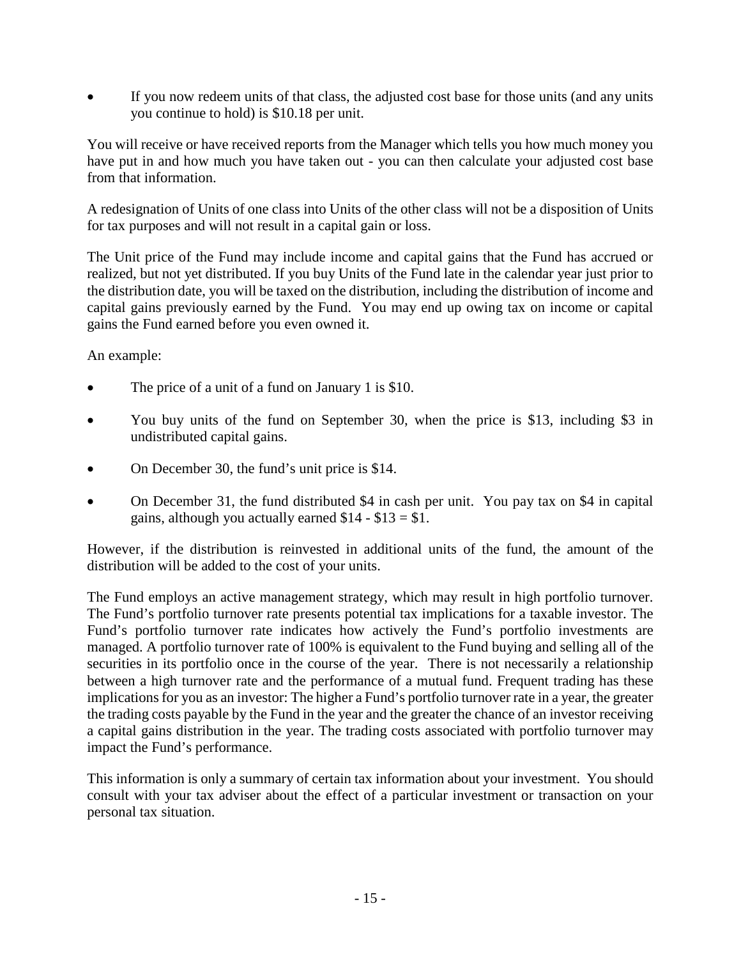If you now redeem units of that class, the adjusted cost base for those units (and any units you continue to hold) is \$10.18 per unit.

You will receive or have received reports from the Manager which tells you how much money you have put in and how much you have taken out - you can then calculate your adjusted cost base from that information.

A redesignation of Units of one class into Units of the other class will not be a disposition of Units for tax purposes and will not result in a capital gain or loss.

The Unit price of the Fund may include income and capital gains that the Fund has accrued or realized, but not yet distributed. If you buy Units of the Fund late in the calendar year just prior to the distribution date, you will be taxed on the distribution, including the distribution of income and capital gains previously earned by the Fund. You may end up owing tax on income or capital gains the Fund earned before you even owned it.

An example:

- The price of a unit of a fund on January 1 is \$10.
- You buy units of the fund on September 30, when the price is \$13, including \$3 in undistributed capital gains.
- On December 30, the fund's unit price is \$14.
- On December 31, the fund distributed \$4 in cash per unit. You pay tax on \$4 in capital gains, although you actually earned  $$14 - $13 = $1$ .

However, if the distribution is reinvested in additional units of the fund, the amount of the distribution will be added to the cost of your units.

The Fund employs an active management strategy, which may result in high portfolio turnover. The Fund's portfolio turnover rate presents potential tax implications for a taxable investor. The Fund's portfolio turnover rate indicates how actively the Fund's portfolio investments are managed. A portfolio turnover rate of 100% is equivalent to the Fund buying and selling all of the securities in its portfolio once in the course of the year. There is not necessarily a relationship between a high turnover rate and the performance of a mutual fund. Frequent trading has these implications for you as an investor: The higher a Fund's portfolio turnover rate in a year, the greater the trading costs payable by the Fund in the year and the greater the chance of an investor receiving a capital gains distribution in the year. The trading costs associated with portfolio turnover may impact the Fund's performance.

This information is only a summary of certain tax information about your investment. You should consult with your tax adviser about the effect of a particular investment or transaction on your personal tax situation.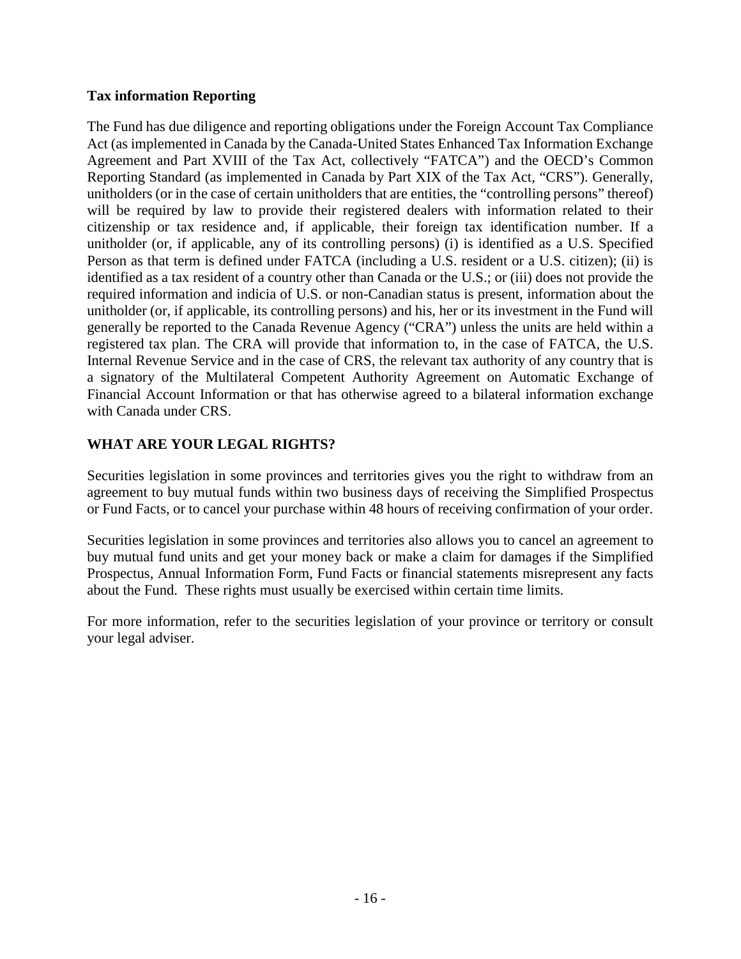## **Tax information Reporting**

The Fund has due diligence and reporting obligations under the Foreign Account Tax Compliance Act (as implemented in Canada by the Canada-United States Enhanced Tax Information Exchange Agreement and Part XVIII of the Tax Act, collectively "FATCA") and the OECD's Common Reporting Standard (as implemented in Canada by Part XIX of the Tax Act, "CRS"). Generally, unitholders (or in the case of certain unitholders that are entities, the "controlling persons" thereof) will be required by law to provide their registered dealers with information related to their citizenship or tax residence and, if applicable, their foreign tax identification number. If a unitholder (or, if applicable, any of its controlling persons) (i) is identified as a U.S. Specified Person as that term is defined under FATCA (including a U.S. resident or a U.S. citizen); (ii) is identified as a tax resident of a country other than Canada or the U.S.; or (iii) does not provide the required information and indicia of U.S. or non-Canadian status is present, information about the unitholder (or, if applicable, its controlling persons) and his, her or its investment in the Fund will generally be reported to the Canada Revenue Agency ("CRA") unless the units are held within a registered tax plan. The CRA will provide that information to, in the case of FATCA, the U.S. Internal Revenue Service and in the case of CRS, the relevant tax authority of any country that is a signatory of the Multilateral Competent Authority Agreement on Automatic Exchange of Financial Account Information or that has otherwise agreed to a bilateral information exchange with Canada under CRS.

## **WHAT ARE YOUR LEGAL RIGHTS?**

Securities legislation in some provinces and territories gives you the right to withdraw from an agreement to buy mutual funds within two business days of receiving the Simplified Prospectus or Fund Facts, or to cancel your purchase within 48 hours of receiving confirmation of your order.

Securities legislation in some provinces and territories also allows you to cancel an agreement to buy mutual fund units and get your money back or make a claim for damages if the Simplified Prospectus, Annual Information Form, Fund Facts or financial statements misrepresent any facts about the Fund. These rights must usually be exercised within certain time limits.

For more information, refer to the securities legislation of your province or territory or consult your legal adviser.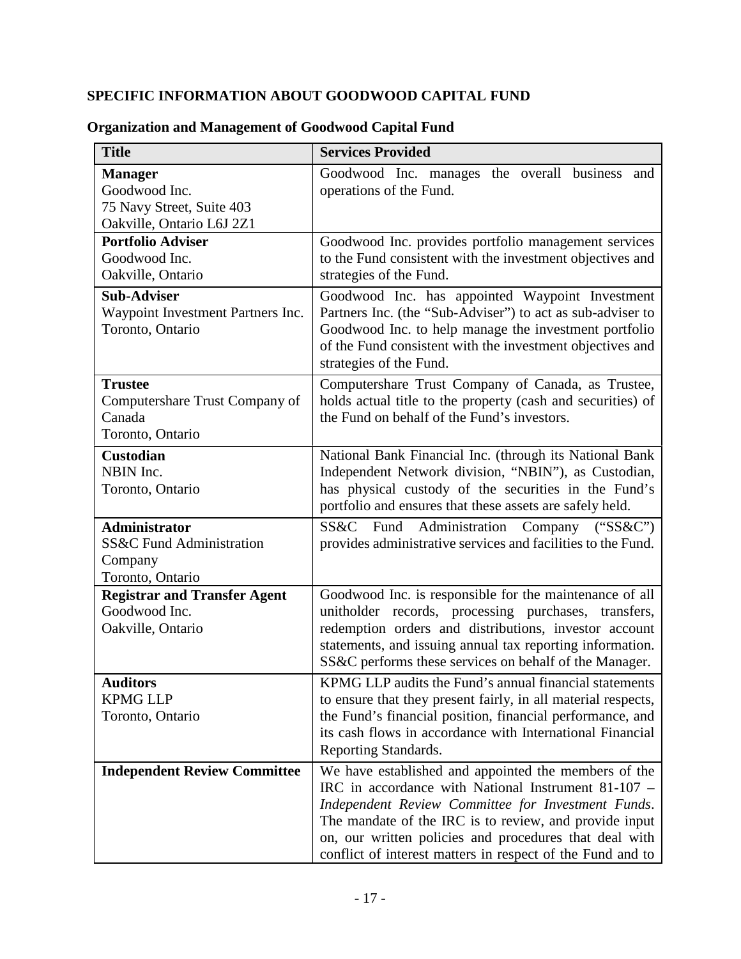## **SPECIFIC INFORMATION ABOUT GOODWOOD CAPITAL FUND**

| <b>Title</b>                                                                              | <b>Services Provided</b>                                                                                                                                                                                                                                                                                                                            |
|-------------------------------------------------------------------------------------------|-----------------------------------------------------------------------------------------------------------------------------------------------------------------------------------------------------------------------------------------------------------------------------------------------------------------------------------------------------|
| <b>Manager</b><br>Goodwood Inc.<br>75 Navy Street, Suite 403<br>Oakville, Ontario L6J 2Z1 | Goodwood Inc. manages the overall<br>business<br>and<br>operations of the Fund.                                                                                                                                                                                                                                                                     |
| <b>Portfolio Adviser</b><br>Goodwood Inc.<br>Oakville, Ontario                            | Goodwood Inc. provides portfolio management services<br>to the Fund consistent with the investment objectives and<br>strategies of the Fund.                                                                                                                                                                                                        |
| <b>Sub-Adviser</b><br>Waypoint Investment Partners Inc.<br>Toronto, Ontario               | Goodwood Inc. has appointed Waypoint Investment<br>Partners Inc. (the "Sub-Adviser") to act as sub-adviser to<br>Goodwood Inc. to help manage the investment portfolio<br>of the Fund consistent with the investment objectives and<br>strategies of the Fund.                                                                                      |
| <b>Trustee</b><br>Computershare Trust Company of<br>Canada<br>Toronto, Ontario            | Computershare Trust Company of Canada, as Trustee,<br>holds actual title to the property (cash and securities) of<br>the Fund on behalf of the Fund's investors.                                                                                                                                                                                    |
| Custodian<br>NBIN Inc.<br>Toronto, Ontario                                                | National Bank Financial Inc. (through its National Bank<br>Independent Network division, "NBIN"), as Custodian,<br>has physical custody of the securities in the Fund's<br>portfolio and ensures that these assets are safely held.                                                                                                                 |
| <b>Administrator</b><br>SS&C Fund Administration<br>Company<br>Toronto, Ontario           | SS&C Fund Administration Company<br>("SS&C")<br>provides administrative services and facilities to the Fund.                                                                                                                                                                                                                                        |
| <b>Registrar and Transfer Agent</b><br>Goodwood Inc.<br>Oakville, Ontario                 | Goodwood Inc. is responsible for the maintenance of all<br>unitholder records, processing purchases, transfers,<br>redemption orders and distributions, investor account<br>statements, and issuing annual tax reporting information.<br>SS&C performs these services on behalf of the Manager.                                                     |
| <b>Auditors</b><br><b>KPMG LLP</b><br>Toronto, Ontario                                    | KPMG LLP audits the Fund's annual financial statements<br>to ensure that they present fairly, in all material respects,<br>the Fund's financial position, financial performance, and<br>its cash flows in accordance with International Financial<br>Reporting Standards.                                                                           |
| <b>Independent Review Committee</b>                                                       | We have established and appointed the members of the<br>IRC in accordance with National Instrument 81-107 –<br>Independent Review Committee for Investment Funds.<br>The mandate of the IRC is to review, and provide input<br>on, our written policies and procedures that deal with<br>conflict of interest matters in respect of the Fund and to |

## **Organization and Management of Goodwood Capital Fund**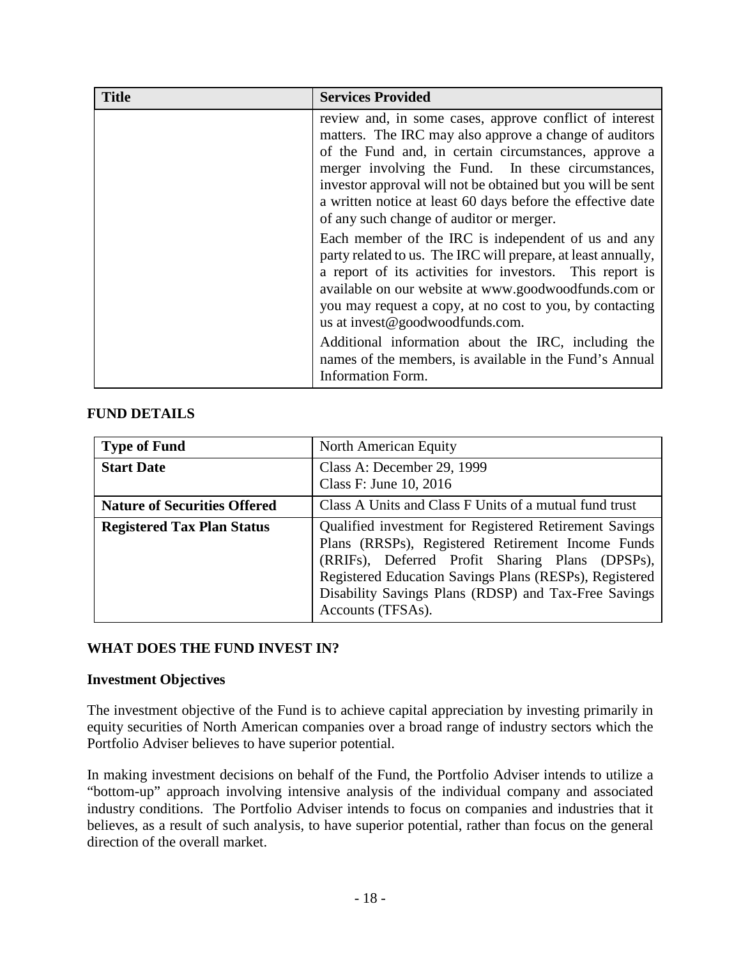| <b>Title</b> | <b>Services Provided</b>                                                                                                                                                                                                                                                                                                                                                                                  |
|--------------|-----------------------------------------------------------------------------------------------------------------------------------------------------------------------------------------------------------------------------------------------------------------------------------------------------------------------------------------------------------------------------------------------------------|
|              | review and, in some cases, approve conflict of interest<br>matters. The IRC may also approve a change of auditors<br>of the Fund and, in certain circumstances, approve a<br>merger involving the Fund. In these circumstances,<br>investor approval will not be obtained but you will be sent<br>a written notice at least 60 days before the effective date<br>of any such change of auditor or merger. |
|              | Each member of the IRC is independent of us and any<br>party related to us. The IRC will prepare, at least annually,<br>a report of its activities for investors. This report is<br>available on our website at www.goodwoodfunds.com or<br>you may request a copy, at no cost to you, by contacting<br>us at invest@goodwoodfunds.com.                                                                   |
|              | Additional information about the IRC, including the<br>names of the members, is available in the Fund's Annual<br>Information Form.                                                                                                                                                                                                                                                                       |

## **FUND DETAILS**

| <b>Type of Fund</b>                 | North American Equity                                                                                                                                                                                                                                                                                 |
|-------------------------------------|-------------------------------------------------------------------------------------------------------------------------------------------------------------------------------------------------------------------------------------------------------------------------------------------------------|
| <b>Start Date</b>                   | Class A: December 29, 1999<br>Class F: June 10, 2016                                                                                                                                                                                                                                                  |
| <b>Nature of Securities Offered</b> | Class A Units and Class F Units of a mutual fund trust                                                                                                                                                                                                                                                |
| <b>Registered Tax Plan Status</b>   | Qualified investment for Registered Retirement Savings<br>Plans (RRSPs), Registered Retirement Income Funds<br>(RRIFs), Deferred Profit Sharing Plans (DPSPs),<br>Registered Education Savings Plans (RESPs), Registered<br>Disability Savings Plans (RDSP) and Tax-Free Savings<br>Accounts (TFSAs). |

## **WHAT DOES THE FUND INVEST IN?**

## **Investment Objectives**

The investment objective of the Fund is to achieve capital appreciation by investing primarily in equity securities of North American companies over a broad range of industry sectors which the Portfolio Adviser believes to have superior potential.

In making investment decisions on behalf of the Fund, the Portfolio Adviser intends to utilize a "bottom-up" approach involving intensive analysis of the individual company and associated industry conditions. The Portfolio Adviser intends to focus on companies and industries that it believes, as a result of such analysis, to have superior potential, rather than focus on the general direction of the overall market.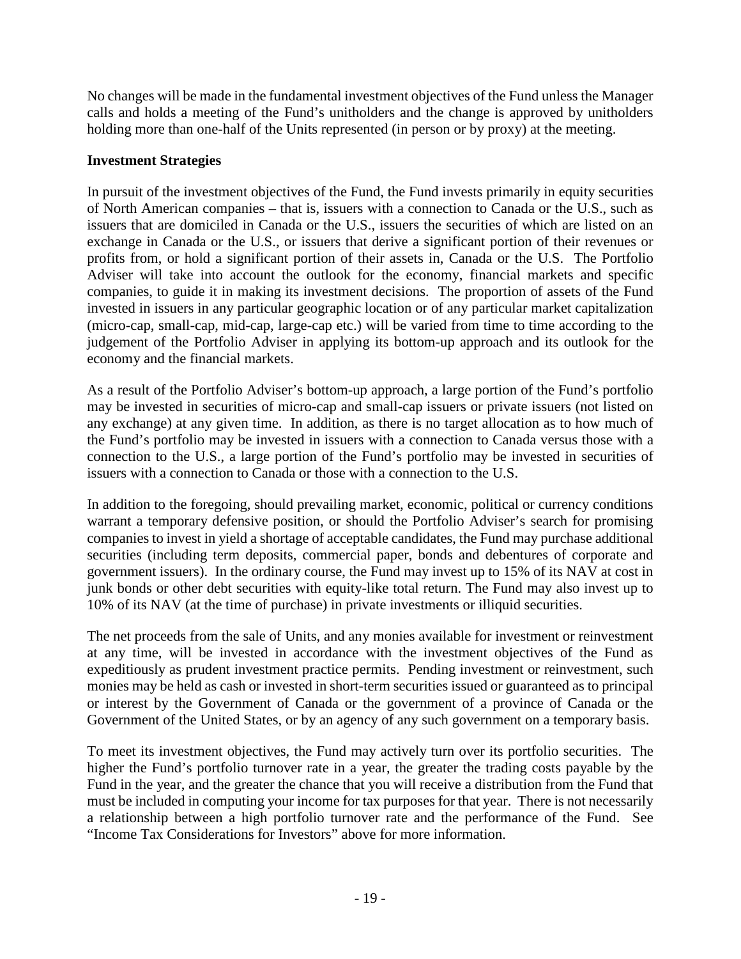No changes will be made in the fundamental investment objectives of the Fund unless the Manager calls and holds a meeting of the Fund's unitholders and the change is approved by unitholders holding more than one-half of the Units represented (in person or by proxy) at the meeting.

#### **Investment Strategies**

In pursuit of the investment objectives of the Fund, the Fund invests primarily in equity securities of North American companies – that is, issuers with a connection to Canada or the U.S., such as issuers that are domiciled in Canada or the U.S., issuers the securities of which are listed on an exchange in Canada or the U.S., or issuers that derive a significant portion of their revenues or profits from, or hold a significant portion of their assets in, Canada or the U.S. The Portfolio Adviser will take into account the outlook for the economy, financial markets and specific companies, to guide it in making its investment decisions. The proportion of assets of the Fund invested in issuers in any particular geographic location or of any particular market capitalization (micro-cap, small-cap, mid-cap, large-cap etc.) will be varied from time to time according to the judgement of the Portfolio Adviser in applying its bottom-up approach and its outlook for the economy and the financial markets.

As a result of the Portfolio Adviser's bottom-up approach, a large portion of the Fund's portfolio may be invested in securities of micro-cap and small-cap issuers or private issuers (not listed on any exchange) at any given time. In addition, as there is no target allocation as to how much of the Fund's portfolio may be invested in issuers with a connection to Canada versus those with a connection to the U.S., a large portion of the Fund's portfolio may be invested in securities of issuers with a connection to Canada or those with a connection to the U.S.

In addition to the foregoing, should prevailing market, economic, political or currency conditions warrant a temporary defensive position, or should the Portfolio Adviser's search for promising companies to invest in yield a shortage of acceptable candidates, the Fund may purchase additional securities (including term deposits, commercial paper, bonds and debentures of corporate and government issuers). In the ordinary course, the Fund may invest up to 15% of its NAV at cost in junk bonds or other debt securities with equity-like total return. The Fund may also invest up to 10% of its NAV (at the time of purchase) in private investments or illiquid securities.

The net proceeds from the sale of Units, and any monies available for investment or reinvestment at any time, will be invested in accordance with the investment objectives of the Fund as expeditiously as prudent investment practice permits. Pending investment or reinvestment, such monies may be held as cash or invested in short-term securities issued or guaranteed as to principal or interest by the Government of Canada or the government of a province of Canada or the Government of the United States, or by an agency of any such government on a temporary basis.

To meet its investment objectives, the Fund may actively turn over its portfolio securities. The higher the Fund's portfolio turnover rate in a year, the greater the trading costs payable by the Fund in the year, and the greater the chance that you will receive a distribution from the Fund that must be included in computing your income for tax purposes for that year. There is not necessarily a relationship between a high portfolio turnover rate and the performance of the Fund. See "Income Tax Considerations for Investors" above for more information.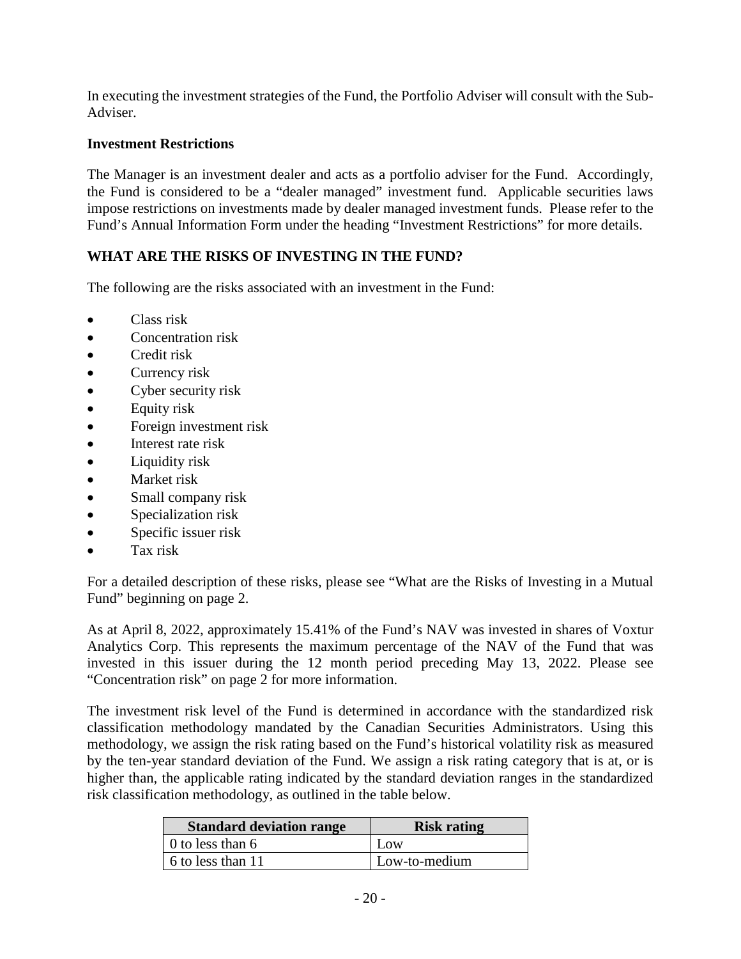In executing the investment strategies of the Fund, the Portfolio Adviser will consult with the Sub-Adviser.

## **Investment Restrictions**

The Manager is an investment dealer and acts as a portfolio adviser for the Fund. Accordingly, the Fund is considered to be a "dealer managed" investment fund. Applicable securities laws impose restrictions on investments made by dealer managed investment funds. Please refer to the Fund's Annual Information Form under the heading "Investment Restrictions" for more details.

## **WHAT ARE THE RISKS OF INVESTING IN THE FUND?**

The following are the risks associated with an investment in the Fund:

- Class risk
- Concentration risk
- Credit risk
- Currency risk
- Cyber security risk
- Equity risk
- Foreign investment risk
- Interest rate risk
- Liquidity risk
- Market risk
- Small company risk
- Specialization risk
- Specific issuer risk
- Tax risk

For a detailed description of these risks, please see "What are the Risks of Investing in a Mutual Fund" beginning on page 2.

As at April 8, 2022, approximately 15.41% of the Fund's NAV was invested in shares of Voxtur Analytics Corp. This represents the maximum percentage of the NAV of the Fund that was invested in this issuer during the 12 month period preceding May 13, 2022. Please see "Concentration risk" on page 2 for more information.

The investment risk level of the Fund is determined in accordance with the standardized risk classification methodology mandated by the Canadian Securities Administrators. Using this methodology, we assign the risk rating based on the Fund's historical volatility risk as measured by the ten-year standard deviation of the Fund. We assign a risk rating category that is at, or is higher than, the applicable rating indicated by the standard deviation ranges in the standardized risk classification methodology, as outlined in the table below.

| <b>Standard deviation range</b> | <b>Risk rating</b> |
|---------------------------------|--------------------|
| 0 to less than 6                | Low                |
| 6 to less than 11               | Low-to-medium      |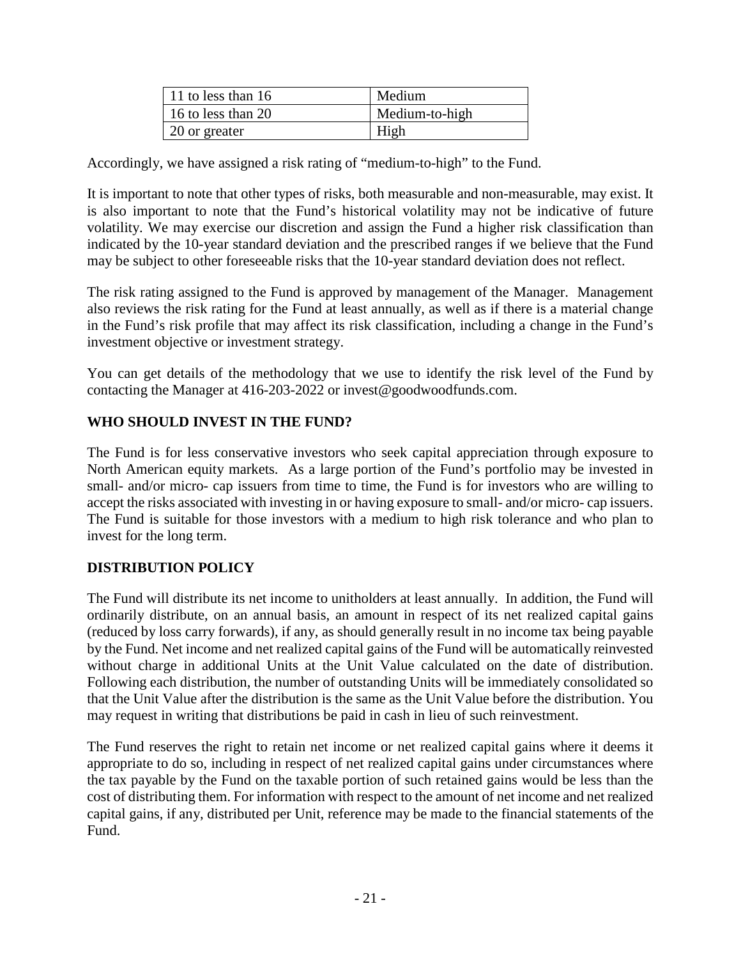| $\vert$ 11 to less than 16 | Medium         |
|----------------------------|----------------|
| $\vert$ 16 to less than 20 | Medium-to-high |
| 20 or greater              | High           |

Accordingly, we have assigned a risk rating of "medium-to-high" to the Fund.

It is important to note that other types of risks, both measurable and non-measurable, may exist. It is also important to note that the Fund's historical volatility may not be indicative of future volatility. We may exercise our discretion and assign the Fund a higher risk classification than indicated by the 10-year standard deviation and the prescribed ranges if we believe that the Fund may be subject to other foreseeable risks that the 10-year standard deviation does not reflect.

The risk rating assigned to the Fund is approved by management of the Manager. Management also reviews the risk rating for the Fund at least annually, as well as if there is a material change in the Fund's risk profile that may affect its risk classification, including a change in the Fund's investment objective or investment strategy.

You can get details of the methodology that we use to identify the risk level of the Fund by contacting the Manager at 416-203-2022 or invest@goodwoodfunds.com.

## **WHO SHOULD INVEST IN THE FUND?**

The Fund is for less conservative investors who seek capital appreciation through exposure to North American equity markets. As a large portion of the Fund's portfolio may be invested in small- and/or micro- cap issuers from time to time, the Fund is for investors who are willing to accept the risks associated with investing in or having exposure to small- and/or micro- cap issuers. The Fund is suitable for those investors with a medium to high risk tolerance and who plan to invest for the long term.

## **DISTRIBUTION POLICY**

The Fund will distribute its net income to unitholders at least annually. In addition, the Fund will ordinarily distribute, on an annual basis, an amount in respect of its net realized capital gains (reduced by loss carry forwards), if any, as should generally result in no income tax being payable by the Fund. Net income and net realized capital gains of the Fund will be automatically reinvested without charge in additional Units at the Unit Value calculated on the date of distribution. Following each distribution, the number of outstanding Units will be immediately consolidated so that the Unit Value after the distribution is the same as the Unit Value before the distribution. You may request in writing that distributions be paid in cash in lieu of such reinvestment.

The Fund reserves the right to retain net income or net realized capital gains where it deems it appropriate to do so, including in respect of net realized capital gains under circumstances where the tax payable by the Fund on the taxable portion of such retained gains would be less than the cost of distributing them. For information with respect to the amount of net income and net realized capital gains, if any, distributed per Unit, reference may be made to the financial statements of the Fund.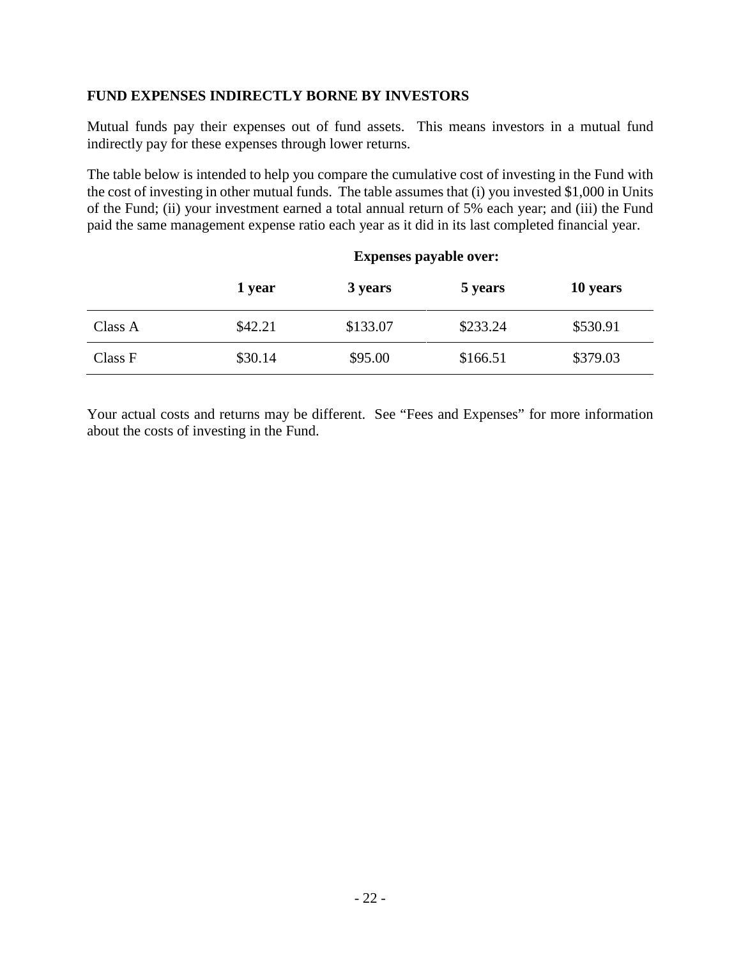## **FUND EXPENSES INDIRECTLY BORNE BY INVESTORS**

Mutual funds pay their expenses out of fund assets. This means investors in a mutual fund indirectly pay for these expenses through lower returns.

The table below is intended to help you compare the cumulative cost of investing in the Fund with the cost of investing in other mutual funds. The table assumes that (i) you invested \$1,000 in Units of the Fund; (ii) your investment earned a total annual return of 5% each year; and (iii) the Fund paid the same management expense ratio each year as it did in its last completed financial year.

|         | .       |          |          |          |
|---------|---------|----------|----------|----------|
|         | 1 year  | 3 years  | 5 years  | 10 years |
| Class A | \$42.21 | \$133.07 | \$233.24 | \$530.91 |
| Class F | \$30.14 | \$95.00  | \$166.51 | \$379.03 |

## **Expenses payable over:**

Your actual costs and returns may be different. See "Fees and Expenses" for more information about the costs of investing in the Fund.